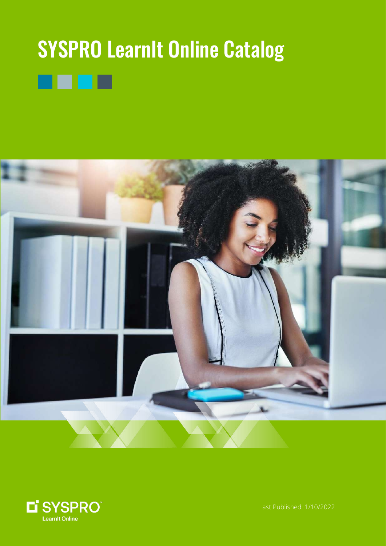# **SYSPRO LearnIt Online Catalog** П





Last Published: 1/10/2022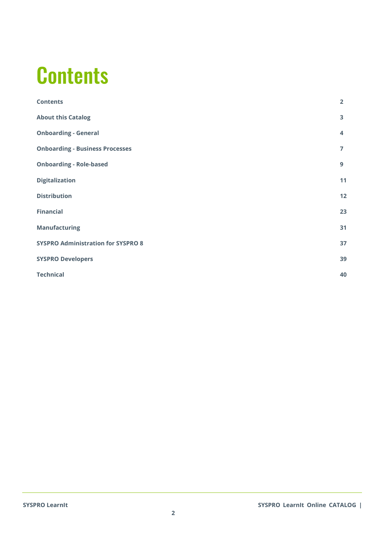#### <span id="page-1-0"></span>**Contents**

| <b>Contents</b>                           | $\overline{2}$ |
|-------------------------------------------|----------------|
| <b>About this Catalog</b>                 | 3              |
| <b>Onboarding - General</b>               | 4              |
| <b>Onboarding - Business Processes</b>    | $\overline{7}$ |
| <b>Onboarding - Role-based</b>            | 9              |
| <b>Digitalization</b>                     | 11             |
| <b>Distribution</b>                       | 12             |
| <b>Financial</b>                          | 23             |
| <b>Manufacturing</b>                      | 31             |
| <b>SYSPRO Administration for SYSPRO 8</b> | 37             |
| <b>SYSPRO Developers</b>                  | 39             |
| <b>Technical</b>                          | 40             |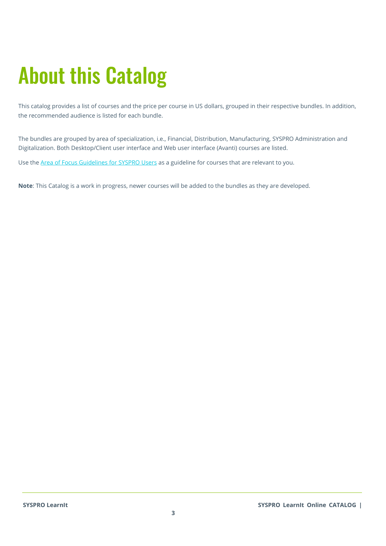# <span id="page-2-0"></span>About this Catalog

This catalog provides a list of courses and the price per course in US dollars, grouped in their respective bundles. In addition, the recommended audience is listed for each bundle.

The bundles are grouped by area of specialization, i.e., Financial, Distribution, Manufacturing, SYSPRO Administration and Digitalization. Both Desktop/Client user interface and Web user interface (Avanti) courses are listed.

Use th[e Area of Focus Guidelines for SYSPRO Users](https://f.hubspotusercontent30.net/hubfs/239680/Website%20Featured%20Images/Services/Education%20and%20Training/Area_of_Focus_Customers.pdf) as a guideline for courses that are relevant to you.

**Note**: This Catalog is a work in progress, newer courses will be added to the bundles as they are developed.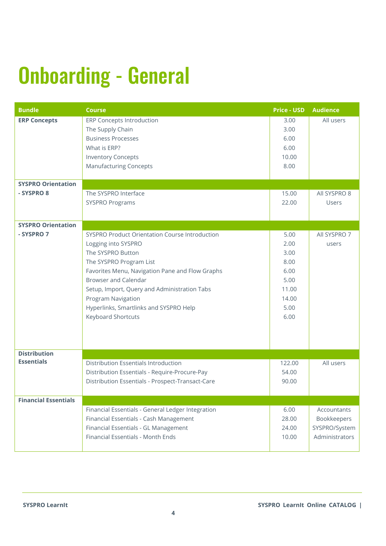# <span id="page-3-0"></span>Onboarding - General

| <b>Bundle</b>               | <b>Course</b>                                                                                                                                                                                                                                                                                                                                        | <b>Price - USD</b>                                                             | Audience                                                      |
|-----------------------------|------------------------------------------------------------------------------------------------------------------------------------------------------------------------------------------------------------------------------------------------------------------------------------------------------------------------------------------------------|--------------------------------------------------------------------------------|---------------------------------------------------------------|
| <b>ERP Concepts</b>         | <b>ERP Concepts Introduction</b><br>The Supply Chain<br><b>Business Processes</b><br>What is ERP?<br><b>Inventory Concepts</b><br><b>Manufacturing Concepts</b>                                                                                                                                                                                      | 3.00<br>3.00<br>6.00<br>6.00<br>10.00<br>8.00                                  | All users                                                     |
| <b>SYSPRO Orientation</b>   |                                                                                                                                                                                                                                                                                                                                                      |                                                                                |                                                               |
| - SYSPRO 8                  | The SYSPRO Interface<br><b>SYSPRO Programs</b>                                                                                                                                                                                                                                                                                                       | 15.00<br>22.00                                                                 | All SYSPRO 8<br>Users                                         |
| <b>SYSPRO Orientation</b>   |                                                                                                                                                                                                                                                                                                                                                      |                                                                                |                                                               |
| - SYSPRO 7                  | <b>SYSPRO Product Orientation Course Introduction</b><br>Logging into SYSPRO<br>The SYSPRO Button<br>The SYSPRO Program List<br>Favorites Menu, Navigation Pane and Flow Graphs<br><b>Browser and Calendar</b><br>Setup, Import, Query and Administration Tabs<br>Program Navigation<br>Hyperlinks, Smartlinks and SYSPRO Help<br>Keyboard Shortcuts | 5.00<br>2.00<br>3.00<br>8.00<br>6.00<br>5.00<br>11.00<br>14.00<br>5.00<br>6.00 | All SYSPRO 7<br>users                                         |
| <b>Distribution</b>         |                                                                                                                                                                                                                                                                                                                                                      |                                                                                |                                                               |
| <b>Essentials</b>           | <b>Distribution Essentials Introduction</b><br>Distribution Essentials - Require-Procure-Pay<br>Distribution Essentials - Prospect-Transact-Care                                                                                                                                                                                                     | 122.00<br>54.00<br>90.00                                                       | All users                                                     |
| <b>Financial Essentials</b> |                                                                                                                                                                                                                                                                                                                                                      |                                                                                |                                                               |
|                             | Financial Essentials - General Ledger Integration<br>Financial Essentials - Cash Management<br>Financial Essentials - GL Management<br>Financial Essentials - Month Ends                                                                                                                                                                             | 6.00<br>28.00<br>24.00<br>10.00                                                | Accountants<br>Bookkeepers<br>SYSPRO/System<br>Administrators |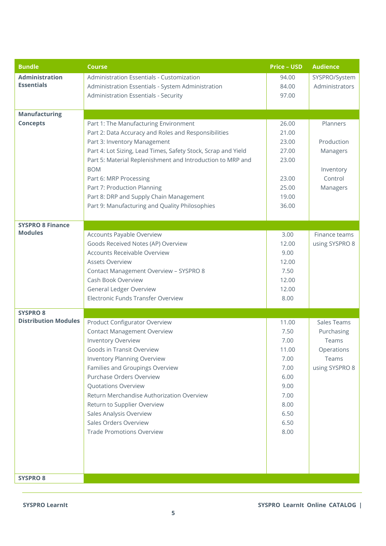| <b>Bundle</b>               | <b>Course</b>                                                            | <b>Price - USD</b> | <b>Audience</b> |
|-----------------------------|--------------------------------------------------------------------------|--------------------|-----------------|
| <b>Administration</b>       | Administration Essentials - Customization                                | 94.00              | SYSPRO/System   |
| <b>Essentials</b>           | Administration Essentials - System Administration                        | 84.00              | Administrators  |
|                             | Administration Essentials - Security                                     | 97.00              |                 |
|                             |                                                                          |                    |                 |
| <b>Manufacturing</b>        |                                                                          |                    |                 |
| <b>Concepts</b>             | Part 1: The Manufacturing Environment                                    | 26.00              | Planners        |
|                             | Part 2: Data Accuracy and Roles and Responsibilities                     | 21.00              |                 |
|                             | Part 3: Inventory Management                                             | 23.00              | Production      |
|                             | Part 4: Lot Sizing, Lead Times, Safety Stock, Scrap and Yield            | 27.00              | Managers        |
|                             | Part 5: Material Replenishment and Introduction to MRP and<br><b>BOM</b> | 23.00              | Inventory       |
|                             | Part 6: MRP Processing                                                   | 23.00              | Control         |
|                             | Part 7: Production Planning                                              | 25.00              | Managers        |
|                             | Part 8: DRP and Supply Chain Management                                  | 19.00              |                 |
|                             | Part 9: Manufacturing and Quality Philosophies                           | 36.00              |                 |
|                             |                                                                          |                    |                 |
| <b>SYSPRO 8 Finance</b>     |                                                                          |                    |                 |
| <b>Modules</b>              | Accounts Payable Overview                                                | 3.00               | Finance teams   |
|                             | Goods Received Notes (AP) Overview                                       | 12.00              | using SYSPRO 8  |
|                             | <b>Accounts Receivable Overview</b>                                      | 9.00               |                 |
|                             | <b>Assets Overview</b>                                                   | 12.00              |                 |
|                             | Contact Management Overview - SYSPRO 8                                   | 7.50               |                 |
|                             | Cash Book Overview                                                       | 12.00              |                 |
|                             | <b>General Ledger Overview</b>                                           | 12.00              |                 |
|                             | Electronic Funds Transfer Overview                                       | 8.00               |                 |
| <b>SYSPRO 8</b>             |                                                                          |                    |                 |
| <b>Distribution Modules</b> | <b>Product Configurator Overview</b>                                     | 11.00              | Sales Teams     |
|                             | <b>Contact Management Overview</b>                                       | 7.50               | Purchasing      |
|                             | <b>Inventory Overview</b>                                                | 7.00               | Teams           |
|                             | Goods in Transit Overview                                                | 11.00              | Operations      |
|                             | <b>Inventory Planning Overview</b>                                       | 7.00               | Teams           |
|                             | Families and Groupings Overview                                          | 7.00               | using SYSPRO 8  |
|                             | Purchase Orders Overview                                                 | 6.00               |                 |
|                             | <b>Quotations Overview</b>                                               | 9.00               |                 |
|                             | Return Merchandise Authorization Overview                                | 7.00               |                 |
|                             | Return to Supplier Overview                                              | 8.00               |                 |
|                             | Sales Analysis Overview                                                  | 6.50               |                 |
|                             | Sales Orders Overview                                                    | 6.50               |                 |
|                             | <b>Trade Promotions Overview</b>                                         | 8.00               |                 |
|                             |                                                                          |                    |                 |
|                             |                                                                          |                    |                 |
|                             |                                                                          |                    |                 |
| <b>SYSPRO 8</b>             |                                                                          |                    |                 |
|                             |                                                                          |                    |                 |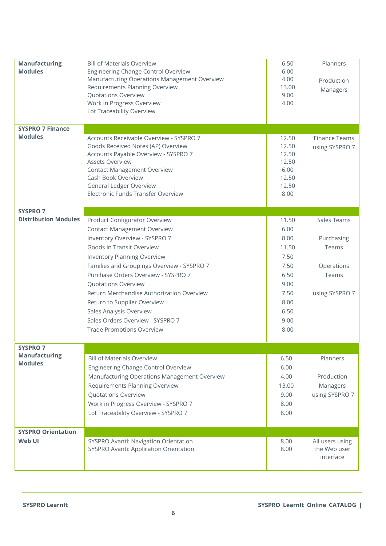| <b>Manufacturing</b>        | <b>Bill of Materials Overview</b>                                    | 6.50          | Planners             |
|-----------------------------|----------------------------------------------------------------------|---------------|----------------------|
| <b>Modules</b>              | <b>Engineering Change Control Overview</b>                           | 6.00          |                      |
|                             | Manufacturing Operations Management Overview                         | 4.00          | Production           |
|                             | Requirements Planning Overview<br><b>Quotations Overview</b>         | 13.00<br>9.00 | Managers             |
|                             | Work in Progress Overview                                            | 4.00          |                      |
|                             | Lot Traceability Overview                                            |               |                      |
|                             |                                                                      |               |                      |
| <b>SYSPRO 7 Finance</b>     |                                                                      |               |                      |
| <b>Modules</b>              | Accounts Receivable Overview - SYSPRO 7                              | 12.50         | <b>Finance Teams</b> |
|                             | Goods Received Notes (AP) Overview                                   | 12.50         | using SYSPRO 7       |
|                             | Accounts Payable Overview - SYSPRO 7                                 | 12.50         |                      |
|                             | <b>Assets Overview</b>                                               | 12.50         |                      |
|                             | <b>Contact Management Overview</b>                                   | 6.00          |                      |
|                             | Cash Book Overview                                                   | 12.50         |                      |
|                             | <b>General Ledger Overview</b><br>Electronic Funds Transfer Overview | 12.50<br>8.00 |                      |
|                             |                                                                      |               |                      |
| <b>SYSPRO 7</b>             |                                                                      |               |                      |
| <b>Distribution Modules</b> | <b>Product Configurator Overview</b>                                 | 11.50         | Sales Teams          |
|                             | <b>Contact Management Overview</b>                                   | 6.00          |                      |
|                             | Inventory Overview - SYSPRO 7                                        | 8.00          | Purchasing           |
|                             | Goods in Transit Overview                                            | 11.50         | Teams                |
|                             | Inventory Planning Overview                                          | 7.50          |                      |
|                             | Families and Groupings Overview - SYSPRO 7                           | 7.50          | Operations           |
|                             | Purchase Orders Overview - SYSPRO 7                                  | 6.50          | Teams                |
|                             | Quotations Overview                                                  | 9.00          |                      |
|                             | Return Merchandise Authorization Overview                            | 7.50          | using SYSPRO 7       |
|                             | Return to Supplier Overview                                          | 8.00          |                      |
|                             | Sales Analysis Overview                                              | 6.50          |                      |
|                             | Sales Orders Overview - SYSPRO 7                                     | 9.00          |                      |
|                             | <b>Trade Promotions Overview</b>                                     | 8.00          |                      |
|                             |                                                                      |               |                      |
| <b>SYSPRO 7</b>             |                                                                      |               |                      |
| <b>Manufacturing</b>        | <b>Bill of Materials Overview</b>                                    | 6.50          | Planners             |
| <b>Modules</b>              | <b>Engineering Change Control Overview</b>                           | 6.00          |                      |
|                             | Manufacturing Operations Management Overview                         | 4.00          | Production           |
|                             | Requirements Planning Overview                                       | 13.00         | Managers             |
|                             | <b>Quotations Overview</b>                                           | 9.00          | using SYSPRO 7       |
|                             | Work in Progress Overview - SYSPRO 7                                 | 8.00          |                      |
|                             | Lot Traceability Overview - SYSPRO 7                                 | 8.00          |                      |
|                             |                                                                      |               |                      |
| <b>SYSPRO Orientation</b>   |                                                                      |               |                      |
| Web UI                      | SYSPRO Avanti: Navigation Orientation                                | 8.00          | All users using      |
|                             | SYSPRO Avanti: Application Orientation                               | 8.00          | the Web user         |
|                             |                                                                      |               | interface            |
|                             |                                                                      |               |                      |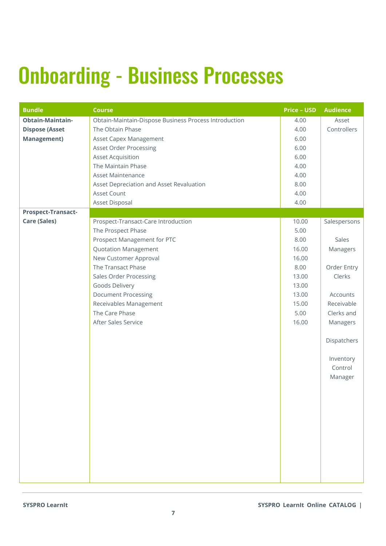### <span id="page-6-0"></span>Onboarding - Business Processes

| <b>Bundle</b>             | <b>Course</b>                                         | <b>Price - USD</b> | <b>Audience</b>                 |
|---------------------------|-------------------------------------------------------|--------------------|---------------------------------|
| <b>Obtain-Maintain-</b>   | Obtain-Maintain-Dispose Business Process Introduction | 4.00               | Asset                           |
| <b>Dispose (Asset</b>     | The Obtain Phase                                      | 4.00               | Controllers                     |
| <b>Management)</b>        | Asset Capex Management                                | 6.00               |                                 |
|                           | <b>Asset Order Processing</b>                         | 6.00               |                                 |
|                           | <b>Asset Acquisition</b>                              | 6.00               |                                 |
|                           | The Maintain Phase                                    | 4.00               |                                 |
|                           | <b>Asset Maintenance</b>                              | 4.00               |                                 |
|                           | Asset Depreciation and Asset Revaluation              | 8.00               |                                 |
|                           | Asset Count                                           | 4.00               |                                 |
|                           | Asset Disposal                                        | 4.00               |                                 |
| <b>Prospect-Transact-</b> |                                                       |                    |                                 |
| <b>Care (Sales)</b>       | Prospect-Transact-Care Introduction                   | 10.00              | Salespersons                    |
|                           | The Prospect Phase                                    | 5.00               |                                 |
|                           | Prospect Management for PTC                           | 8.00               | Sales                           |
|                           | <b>Quotation Management</b>                           | 16.00              | Managers                        |
|                           | New Customer Approval                                 | 16.00              |                                 |
|                           | The Transact Phase                                    | 8.00               | Order Entry                     |
|                           | <b>Sales Order Processing</b>                         | 13.00              | Clerks                          |
|                           | Goods Delivery                                        | 13.00              |                                 |
|                           | <b>Document Processing</b>                            | 13.00              | Accounts                        |
|                           | Receivables Management                                | 15.00              | Receivable                      |
|                           | The Care Phase                                        | 5.00               | Clerks and                      |
|                           | After Sales Service                                   | 16.00              | Managers                        |
|                           |                                                       |                    | Dispatchers                     |
|                           |                                                       |                    | Inventory<br>Control<br>Manager |
|                           |                                                       |                    |                                 |
|                           |                                                       |                    |                                 |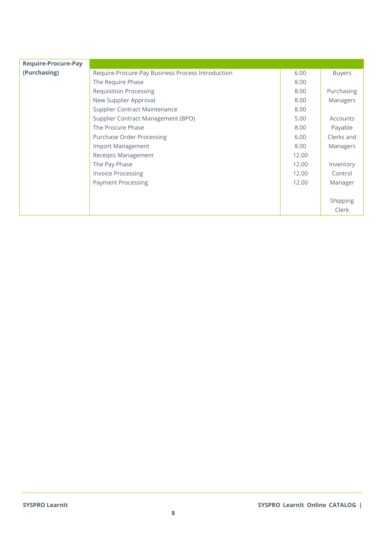| <b>Require-Procure-Pay</b> |                                                   |       |               |
|----------------------------|---------------------------------------------------|-------|---------------|
| (Purchasing)               | Require-Procure-Pay Business Process Introduction | 6.00  | <b>Buyers</b> |
|                            | The Require Phase                                 | 8.00  |               |
|                            | <b>Requisition Processing</b>                     | 8.00  | Purchasing    |
|                            | New Supplier Approval                             | 8.00  | Managers      |
|                            | Supplier Contract Maintenance                     | 8.00  |               |
|                            | Supplier Contract Management (BPO)                | 5.00  | Accounts      |
|                            | The Procure Phase                                 | 8.00  | Payable       |
|                            | Purchase Order Processing                         | 6.00  | Clerks and    |
|                            | Import Management                                 | 8.00  | Managers      |
|                            | Receipts Management                               | 12.00 |               |
|                            | The Pay Phase                                     | 12.00 | Inventory     |
|                            | <b>Invoice Processing</b>                         | 12.00 | Control       |
|                            | <b>Payment Processing</b>                         | 12.00 | Manager       |
|                            |                                                   |       |               |
|                            |                                                   |       | Shipping      |
|                            |                                                   |       | Clerk         |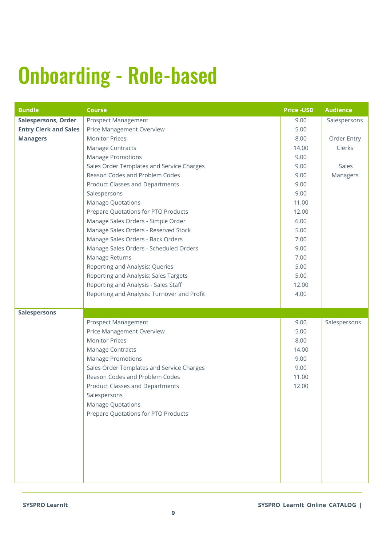### <span id="page-8-0"></span>Onboarding - Role-based

| <b>Bundle</b>                | <b>Course</b>                               | <b>Price -USD</b> | <b>Audience</b> |
|------------------------------|---------------------------------------------|-------------------|-----------------|
| <b>Salespersons, Order</b>   | <b>Prospect Management</b>                  | 9.00              | Salespersons    |
| <b>Entry Clerk and Sales</b> | <b>Price Management Overview</b>            | 5.00              |                 |
| <b>Managers</b>              | <b>Monitor Prices</b>                       | 8.00              | Order Entry     |
|                              | Manage Contracts                            | 14.00             | Clerks          |
|                              | <b>Manage Promotions</b>                    | 9.00              |                 |
|                              | Sales Order Templates and Service Charges   | 9.00              | Sales           |
|                              | Reason Codes and Problem Codes              | 9.00              | Managers        |
|                              | <b>Product Classes and Departments</b>      | 9.00              |                 |
|                              | Salespersons                                | 9.00              |                 |
|                              | <b>Manage Quotations</b>                    | 11.00             |                 |
|                              | Prepare Quotations for PTO Products         | 12.00             |                 |
|                              | Manage Sales Orders - Simple Order          | 6.00              |                 |
|                              | Manage Sales Orders - Reserved Stock        | 5.00              |                 |
|                              | Manage Sales Orders - Back Orders           | 7.00              |                 |
|                              | Manage Sales Orders - Scheduled Orders      | 9.00              |                 |
|                              | Manage Returns                              | 7.00              |                 |
|                              | Reporting and Analysis: Queries             | 5.00              |                 |
|                              | Reporting and Analysis: Sales Targets       | 5.00              |                 |
|                              | Reporting and Analysis - Sales Staff        | 12.00             |                 |
|                              | Reporting and Analysis: Turnover and Profit | 4.00              |                 |
|                              |                                             |                   |                 |
| <b>Salespersons</b>          |                                             |                   |                 |
|                              | <b>Prospect Management</b>                  | 9.00              | Salespersons    |
|                              | <b>Price Management Overview</b>            | 5.00              |                 |
|                              | <b>Monitor Prices</b>                       | 8.00              |                 |
|                              | Manage Contracts                            | 14.00             |                 |
|                              | <b>Manage Promotions</b>                    | 9.00              |                 |
|                              | Sales Order Templates and Service Charges   | 9.00              |                 |
|                              | Reason Codes and Problem Codes              | 11.00             |                 |
|                              | <b>Product Classes and Departments</b>      | 12.00             |                 |
|                              | Salespersons                                |                   |                 |
|                              | <b>Manage Quotations</b>                    |                   |                 |
|                              | Prepare Quotations for PTO Products         |                   |                 |
|                              |                                             |                   |                 |
|                              |                                             |                   |                 |
|                              |                                             |                   |                 |
|                              |                                             |                   |                 |
|                              |                                             |                   |                 |
|                              |                                             |                   |                 |
|                              |                                             |                   |                 |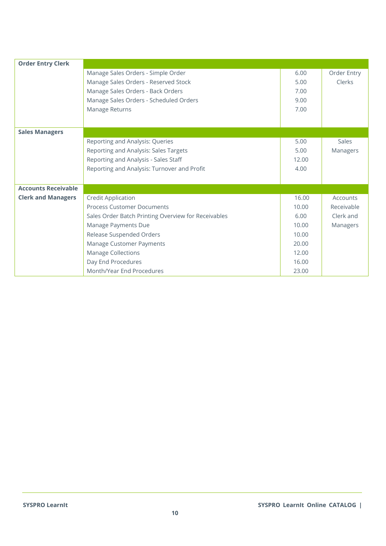| <b>Order Entry Clerk</b>   |                                                     |       |             |
|----------------------------|-----------------------------------------------------|-------|-------------|
|                            | Manage Sales Orders - Simple Order                  | 6.00  | Order Entry |
|                            | Manage Sales Orders - Reserved Stock                | 5.00  | Clerks      |
|                            | Manage Sales Orders - Back Orders                   | 7.00  |             |
|                            | Manage Sales Orders - Scheduled Orders              | 9.00  |             |
|                            | Manage Returns                                      | 7.00  |             |
|                            |                                                     |       |             |
| <b>Sales Managers</b>      |                                                     |       |             |
|                            | Reporting and Analysis: Queries                     | 5.00  | Sales       |
|                            | Reporting and Analysis: Sales Targets               | 5.00  | Managers    |
|                            | Reporting and Analysis - Sales Staff                | 12.00 |             |
|                            | Reporting and Analysis: Turnover and Profit         | 4.00  |             |
|                            |                                                     |       |             |
| <b>Accounts Receivable</b> |                                                     |       |             |
| <b>Clerk and Managers</b>  | <b>Credit Application</b>                           | 16.00 | Accounts    |
|                            | <b>Process Customer Documents</b>                   | 10.00 | Receivable  |
|                            | Sales Order Batch Printing Overview for Receivables | 6.00  | Clerk and   |
|                            | Manage Payments Due                                 | 10.00 | Managers    |
|                            | Release Suspended Orders                            | 10.00 |             |
|                            | Manage Customer Payments                            | 20.00 |             |
|                            | <b>Manage Collections</b>                           | 12.00 |             |
|                            | Day End Procedures                                  | 16.00 |             |
|                            | Month/Year End Procedures                           | 23.00 |             |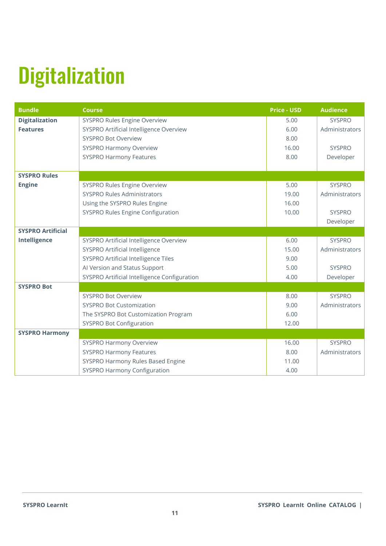# <span id="page-10-0"></span>**Digitalization**

| <b>Bundle</b>            | <b>Course</b>                                | <b>Price - USD</b> | <b>Audience</b> |
|--------------------------|----------------------------------------------|--------------------|-----------------|
| <b>Digitalization</b>    | SYSPRO Rules Engine Overview                 | 5.00               | <b>SYSPRO</b>   |
| <b>Features</b>          | SYSPRO Artificial Intelligence Overview      | 6.00               | Administrators  |
|                          | <b>SYSPRO Bot Overview</b>                   | 8.00               |                 |
|                          | <b>SYSPRO Harmony Overview</b>               | 16.00              | <b>SYSPRO</b>   |
|                          | <b>SYSPRO Harmony Features</b>               | 8.00               | Developer       |
|                          |                                              |                    |                 |
| <b>SYSPRO Rules</b>      |                                              |                    |                 |
| <b>Engine</b>            | SYSPRO Rules Engine Overview                 | 5.00               | <b>SYSPRO</b>   |
|                          | <b>SYSPRO Rules Administrators</b>           | 19.00              | Administrators  |
|                          | Using the SYSPRO Rules Engine                | 16.00              |                 |
|                          | <b>SYSPRO Rules Engine Configuration</b>     | 10.00              | <b>SYSPRO</b>   |
|                          |                                              |                    | Developer       |
| <b>SYSPRO Artificial</b> |                                              |                    |                 |
| Intelligence             | SYSPRO Artificial Intelligence Overview      | 6.00               | <b>SYSPRO</b>   |
|                          | SYSPRO Artificial Intelligence               | 15.00              | Administrators  |
|                          | SYSPRO Artificial Intelligence Tiles         | 9.00               |                 |
|                          | Al Version and Status Support                | 5.00               | <b>SYSPRO</b>   |
|                          | SYSPRO Artificial Intelligence Configuration | 4.00               | Developer       |
| <b>SYSPRO Bot</b>        |                                              |                    |                 |
|                          | <b>SYSPRO Bot Overview</b>                   | 8.00               | <b>SYSPRO</b>   |
|                          | <b>SYSPRO Bot Customization</b>              | 9.00               | Administrators  |
|                          | The SYSPRO Bot Customization Program         | 6.00               |                 |
|                          | SYSPRO Bot Configuration                     | 12.00              |                 |
| <b>SYSPRO Harmony</b>    |                                              |                    |                 |
|                          | <b>SYSPRO Harmony Overview</b>               | 16.00              | <b>SYSPRO</b>   |
|                          | <b>SYSPRO Harmony Features</b>               | 8.00               | Administrators  |
|                          | SYSPRO Harmony Rules Based Engine            | 11.00              |                 |
|                          | <b>SYSPRO Harmony Configuration</b>          | 4.00               |                 |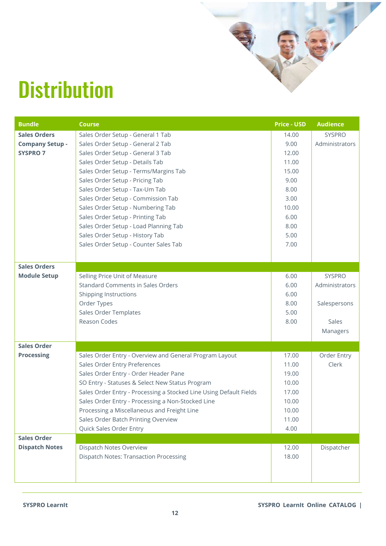#### <span id="page-11-0"></span>**Distribution**

| <b>Bundle</b>          | <b>Course</b>                                                      | <b>Price - USD</b> | <b>Audience</b> |
|------------------------|--------------------------------------------------------------------|--------------------|-----------------|
| <b>Sales Orders</b>    | Sales Order Setup - General 1 Tab                                  | 14.00              | <b>SYSPRO</b>   |
| <b>Company Setup -</b> | Sales Order Setup - General 2 Tab                                  | 9.00               | Administrators  |
| <b>SYSPRO 7</b>        | Sales Order Setup - General 3 Tab                                  | 12.00              |                 |
|                        | Sales Order Setup - Details Tab                                    | 11.00              |                 |
|                        | Sales Order Setup - Terms/Margins Tab                              | 15.00              |                 |
|                        | Sales Order Setup - Pricing Tab                                    | 9.00               |                 |
|                        | Sales Order Setup - Tax-Um Tab                                     | 8.00               |                 |
|                        | Sales Order Setup - Commission Tab                                 | 3.00               |                 |
|                        | Sales Order Setup - Numbering Tab                                  | 10.00              |                 |
|                        | Sales Order Setup - Printing Tab                                   | 6.00               |                 |
|                        | Sales Order Setup - Load Planning Tab                              | 8.00               |                 |
|                        | Sales Order Setup - History Tab                                    | 5.00               |                 |
|                        | Sales Order Setup - Counter Sales Tab                              | 7.00               |                 |
|                        |                                                                    |                    |                 |
| <b>Sales Orders</b>    |                                                                    |                    |                 |
| <b>Module Setup</b>    | Selling Price Unit of Measure                                      | 6.00               | <b>SYSPRO</b>   |
|                        | <b>Standard Comments in Sales Orders</b>                           | 6.00               | Administrators  |
|                        | <b>Shipping Instructions</b>                                       | 6.00               |                 |
|                        | Order Types                                                        | 8.00               | Salespersons    |
|                        | Sales Order Templates                                              | 5.00               |                 |
|                        | <b>Reason Codes</b>                                                | 8.00               | Sales           |
|                        |                                                                    |                    | Managers        |
| <b>Sales Order</b>     |                                                                    |                    |                 |
| <b>Processing</b>      | Sales Order Entry - Overview and General Program Layout            | 17.00              | Order Entry     |
|                        | Sales Order Entry Preferences                                      | 11.00              | Clerk           |
|                        | Sales Order Entry - Order Header Pane                              | 19.00              |                 |
|                        | SO Entry - Statuses & Select New Status Program                    | 10.00              |                 |
|                        | Sales Order Entry - Processing a Stocked Line Using Default Fields | 17.00              |                 |
|                        | Sales Order Entry - Processing a Non-Stocked Line                  | 10.00              |                 |
|                        | Processing a Miscellaneous and Freight Line                        | 10.00              |                 |
|                        | Sales Order Batch Printing Overview                                | 11.00              |                 |
|                        | Quick Sales Order Entry                                            | 4.00               |                 |
| <b>Sales Order</b>     |                                                                    |                    |                 |
| <b>Dispatch Notes</b>  | Dispatch Notes Overview                                            | 12.00              | Dispatcher      |
|                        | <b>Dispatch Notes: Transaction Processing</b>                      | 18.00              |                 |
|                        |                                                                    |                    |                 |
|                        |                                                                    |                    |                 |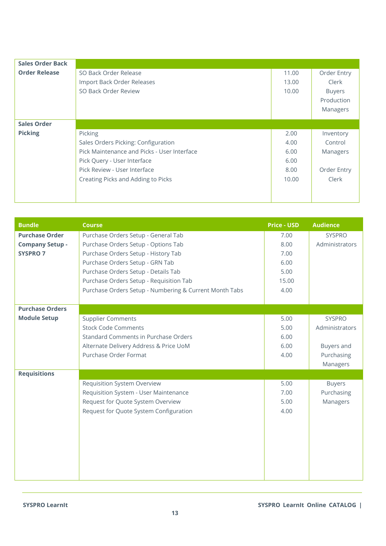| <b>Sales Order Back</b> |                                             |       |               |
|-------------------------|---------------------------------------------|-------|---------------|
| <b>Order Release</b>    | SO Back Order Release                       | 11.00 | Order Entry   |
|                         | Import Back Order Releases                  | 13.00 | Clerk         |
|                         | SO Back Order Review                        | 10.00 | <b>Buyers</b> |
|                         |                                             |       | Production    |
|                         |                                             |       | Managers      |
|                         |                                             |       |               |
| <b>Sales Order</b>      |                                             |       |               |
| <b>Picking</b>          | Picking                                     | 2.00  | Inventory     |
|                         | Sales Orders Picking: Configuration         | 4.00  | Control       |
|                         | Pick Maintenance and Picks - User Interface | 6.00  | Managers      |
|                         | Pick Query - User Interface                 | 6.00  |               |
|                         | Pick Review - User Interface                | 8.00  | Order Entry   |
|                         | Creating Picks and Adding to Picks          | 10.00 | Clerk         |
|                         |                                             |       |               |
|                         |                                             |       |               |

| <b>Bundle</b>          | <b>Course</b>                                          | <b>Price - USD</b> | <b>Audience</b> |
|------------------------|--------------------------------------------------------|--------------------|-----------------|
| <b>Purchase Order</b>  | Purchase Orders Setup - General Tab                    | 7.00               | <b>SYSPRO</b>   |
| <b>Company Setup -</b> | Purchase Orders Setup - Options Tab                    | 8.00               | Administrators  |
| <b>SYSPRO 7</b>        | Purchase Orders Setup - History Tab                    | 7.00               |                 |
|                        | Purchase Orders Setup - GRN Tab                        | 6.00               |                 |
|                        | Purchase Orders Setup - Details Tab                    | 5.00               |                 |
|                        | Purchase Orders Setup - Requisition Tab                | 15.00              |                 |
|                        | Purchase Orders Setup - Numbering & Current Month Tabs | 4.00               |                 |
|                        |                                                        |                    |                 |
| <b>Purchase Orders</b> |                                                        |                    |                 |
| <b>Module Setup</b>    | <b>Supplier Comments</b>                               | 5.00               | <b>SYSPRO</b>   |
|                        | <b>Stock Code Comments</b>                             | 5.00               | Administrators  |
|                        | <b>Standard Comments in Purchase Orders</b>            | 6.00               |                 |
|                        | Alternate Delivery Address & Price UoM                 | 6.00               | Buyers and      |
|                        | Purchase Order Format                                  | 4.00               | Purchasing      |
|                        |                                                        |                    | Managers        |
| <b>Requisitions</b>    |                                                        |                    |                 |
|                        | <b>Requisition System Overview</b>                     | 5.00               | <b>Buyers</b>   |
|                        | Requisition System - User Maintenance                  | 7.00               | Purchasing      |
|                        | Request for Quote System Overview                      | 5.00               | Managers        |
|                        | Request for Quote System Configuration                 | 4.00               |                 |
|                        |                                                        |                    |                 |
|                        |                                                        |                    |                 |
|                        |                                                        |                    |                 |
|                        |                                                        |                    |                 |
|                        |                                                        |                    |                 |
|                        |                                                        |                    |                 |
|                        |                                                        |                    |                 |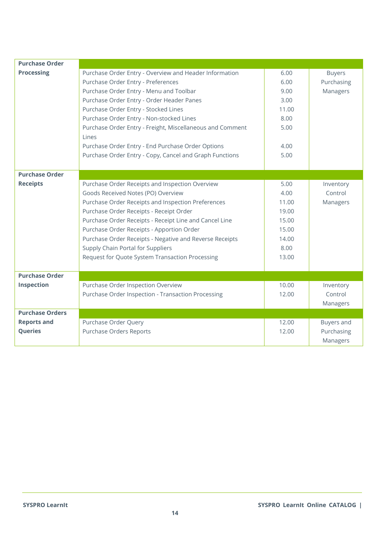| <b>Purchase Order</b>  |                                                           |       |               |
|------------------------|-----------------------------------------------------------|-------|---------------|
| <b>Processing</b>      | Purchase Order Entry - Overview and Header Information    | 6.00  | <b>Buyers</b> |
|                        | Purchase Order Entry - Preferences                        | 6.00  | Purchasing    |
|                        | Purchase Order Entry - Menu and Toolbar                   | 9.00  | Managers      |
|                        | Purchase Order Entry - Order Header Panes                 | 3.00  |               |
|                        | Purchase Order Entry - Stocked Lines                      | 11.00 |               |
|                        | Purchase Order Entry - Non-stocked Lines                  | 8.00  |               |
|                        | Purchase Order Entry - Freight, Miscellaneous and Comment | 5.00  |               |
|                        | Lines                                                     |       |               |
|                        | Purchase Order Entry - End Purchase Order Options         | 4.00  |               |
|                        | Purchase Order Entry - Copy, Cancel and Graph Functions   | 5.00  |               |
|                        |                                                           |       |               |
| <b>Purchase Order</b>  |                                                           |       |               |
| <b>Receipts</b>        | Purchase Order Receipts and Inspection Overview           | 5.00  | Inventory     |
|                        | Goods Received Notes (PO) Overview                        | 4.00  | Control       |
|                        | Purchase Order Receipts and Inspection Preferences        | 11.00 | Managers      |
|                        | Purchase Order Receipts - Receipt Order                   | 19.00 |               |
|                        | Purchase Order Receipts - Receipt Line and Cancel Line    | 15.00 |               |
|                        | Purchase Order Receipts - Apportion Order                 | 15.00 |               |
|                        | Purchase Order Receipts - Negative and Reverse Receipts   | 14.00 |               |
|                        | Supply Chain Portal for Suppliers                         | 8.00  |               |
|                        | Request for Quote System Transaction Processing           | 13.00 |               |
|                        |                                                           |       |               |
| <b>Purchase Order</b>  |                                                           |       |               |
| Inspection             | Purchase Order Inspection Overview                        | 10.00 | Inventory     |
|                        | Purchase Order Inspection - Transaction Processing        | 12.00 | Control       |
|                        |                                                           |       | Managers      |
| <b>Purchase Orders</b> |                                                           |       |               |
| <b>Reports and</b>     | Purchase Order Query                                      | 12.00 | Buyers and    |
| Queries                | Purchase Orders Reports                                   | 12.00 | Purchasing    |
|                        |                                                           |       | Managers      |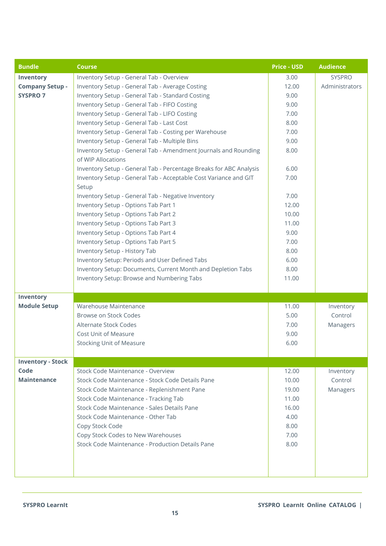| <b>Bundle</b>            | <b>Course</b>                                                                         | <b>Price - USD</b> | <b>Audience</b> |
|--------------------------|---------------------------------------------------------------------------------------|--------------------|-----------------|
| Inventory                | Inventory Setup - General Tab - Overview                                              | 3.00               | <b>SYSPRO</b>   |
| <b>Company Setup -</b>   | Inventory Setup - General Tab - Average Costing                                       | 12.00              | Administrators  |
| <b>SYSPRO 7</b>          | Inventory Setup - General Tab - Standard Costing                                      | 9.00               |                 |
|                          | Inventory Setup - General Tab - FIFO Costing                                          | 9.00               |                 |
|                          | Inventory Setup - General Tab - LIFO Costing                                          | 7.00               |                 |
|                          | Inventory Setup - General Tab - Last Cost                                             | 8.00               |                 |
|                          | Inventory Setup - General Tab - Costing per Warehouse                                 | 7.00               |                 |
|                          | Inventory Setup - General Tab - Multiple Bins                                         | 9.00               |                 |
|                          | Inventory Setup - General Tab - Amendment Journals and Rounding<br>of WIP Allocations | 8.00               |                 |
|                          | Inventory Setup - General Tab - Percentage Breaks for ABC Analysis                    | 6.00               |                 |
|                          | Inventory Setup - General Tab - Acceptable Cost Variance and GIT<br>Setup             | 7.00               |                 |
|                          | Inventory Setup - General Tab - Negative Inventory                                    | 7.00               |                 |
|                          | Inventory Setup - Options Tab Part 1                                                  | 12.00              |                 |
|                          | Inventory Setup - Options Tab Part 2                                                  | 10.00              |                 |
|                          | Inventory Setup - Options Tab Part 3                                                  | 11.00              |                 |
|                          | Inventory Setup - Options Tab Part 4                                                  | 9.00               |                 |
|                          | Inventory Setup - Options Tab Part 5                                                  | 7.00               |                 |
|                          | Inventory Setup - History Tab                                                         | 8.00               |                 |
|                          | Inventory Setup: Periods and User Defined Tabs                                        | 6.00               |                 |
|                          | Inventory Setup: Documents, Current Month and Depletion Tabs                          | 8.00               |                 |
|                          | Inventory Setup: Browse and Numbering Tabs                                            | 11.00              |                 |
|                          |                                                                                       |                    |                 |
| Inventory                |                                                                                       |                    |                 |
| <b>Module Setup</b>      | Warehouse Maintenance                                                                 | 11.00              | Inventory       |
|                          | Browse on Stock Codes                                                                 | 5.00               | Control         |
|                          | Alternate Stock Codes                                                                 | 7.00               | Managers        |
|                          | Cost Unit of Measure                                                                  | 9.00               |                 |
|                          | <b>Stocking Unit of Measure</b>                                                       | 6.00               |                 |
|                          |                                                                                       |                    |                 |
| <b>Inventory - Stock</b> |                                                                                       |                    |                 |
| Code                     | Stock Code Maintenance - Overview                                                     | 12.00              | Inventory       |
| <b>Maintenance</b>       | Stock Code Maintenance - Stock Code Details Pane                                      | 10.00              | Control         |
|                          | Stock Code Maintenance - Replenishment Pane                                           | 19.00              | Managers        |
|                          | Stock Code Maintenance - Tracking Tab                                                 | 11.00              |                 |
|                          | Stock Code Maintenance - Sales Details Pane                                           | 16.00              |                 |
|                          | Stock Code Maintenance - Other Tab                                                    | 4.00               |                 |
|                          | Copy Stock Code                                                                       | 8.00               |                 |
|                          | Copy Stock Codes to New Warehouses                                                    | 7.00               |                 |
|                          | Stock Code Maintenance - Production Details Pane                                      | 8.00               |                 |
|                          |                                                                                       |                    |                 |
|                          |                                                                                       |                    |                 |
|                          |                                                                                       |                    |                 |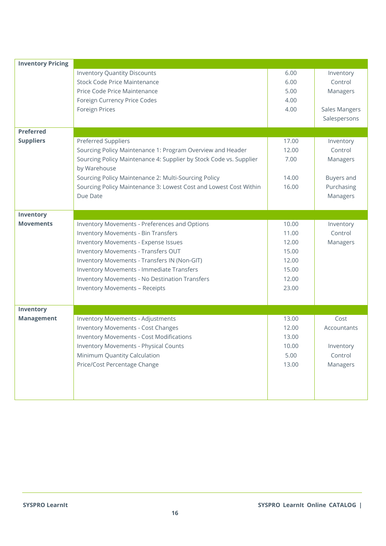| <b>Inventory Pricing</b> |                                                                    |       |               |
|--------------------------|--------------------------------------------------------------------|-------|---------------|
|                          | <b>Inventory Quantity Discounts</b>                                | 6.00  | Inventory     |
|                          | <b>Stock Code Price Maintenance</b>                                | 6.00  | Control       |
|                          | Price Code Price Maintenance                                       | 5.00  | Managers      |
|                          | Foreign Currency Price Codes                                       | 4.00  |               |
|                          | Foreign Prices                                                     | 4.00  | Sales Mangers |
|                          |                                                                    |       | Salespersons  |
| <b>Preferred</b>         |                                                                    |       |               |
| <b>Suppliers</b>         | <b>Preferred Suppliers</b>                                         | 17.00 | Inventory     |
|                          | Sourcing Policy Maintenance 1: Program Overview and Header         | 12.00 | Control       |
|                          | Sourcing Policy Maintenance 4: Supplier by Stock Code vs. Supplier | 7.00  | Managers      |
|                          | by Warehouse                                                       |       |               |
|                          | Sourcing Policy Maintenance 2: Multi-Sourcing Policy               | 14.00 | Buyers and    |
|                          | Sourcing Policy Maintenance 3: Lowest Cost and Lowest Cost Within  | 16.00 | Purchasing    |
|                          | Due Date                                                           |       | Managers      |
|                          |                                                                    |       |               |
| Inventory                |                                                                    |       |               |
| <b>Movements</b>         | Inventory Movements - Preferences and Options                      | 10.00 | Inventory     |
|                          | <b>Inventory Movements - Bin Transfers</b>                         | 11.00 | Control       |
|                          | Inventory Movements - Expense Issues                               | 12.00 | Managers      |
|                          | Inventory Movements - Transfers OUT                                | 15.00 |               |
|                          | Inventory Movements - Transfers IN (Non-GIT)                       | 12.00 |               |
|                          | Inventory Movements - Immediate Transfers                          | 15.00 |               |
|                          | Inventory Movements - No Destination Transfers                     | 12.00 |               |
|                          | <b>Inventory Movements - Receipts</b>                              | 23.00 |               |
|                          |                                                                    |       |               |
| Inventory                |                                                                    |       |               |
| <b>Management</b>        | <b>Inventory Movements - Adjustments</b>                           | 13.00 | Cost          |
|                          | <b>Inventory Movements - Cost Changes</b>                          | 12.00 | Accountants   |
|                          | <b>Inventory Movements - Cost Modifications</b>                    | 13.00 |               |
|                          | Inventory Movements - Physical Counts                              | 10.00 | Inventory     |
|                          | Minimum Quantity Calculation                                       | 5.00  | Control       |
|                          | Price/Cost Percentage Change                                       | 13.00 | Managers      |
|                          |                                                                    |       |               |
|                          |                                                                    |       |               |
|                          |                                                                    |       |               |
|                          |                                                                    |       |               |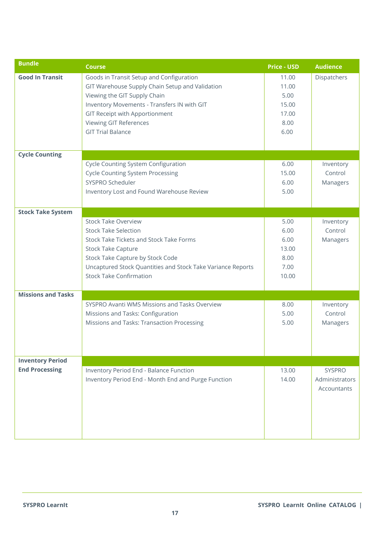| <b>Bundle</b>             | <b>Course</b>                                                                                                                                                                                                                                                             | <b>Price - USD</b>                                       | <b>Audience</b>                         |
|---------------------------|---------------------------------------------------------------------------------------------------------------------------------------------------------------------------------------------------------------------------------------------------------------------------|----------------------------------------------------------|-----------------------------------------|
| <b>Good In Transit</b>    | Goods in Transit Setup and Configuration<br>GIT Warehouse Supply Chain Setup and Validation<br>Viewing the GIT Supply Chain<br>Inventory Movements - Transfers IN with GIT<br>GIT Receipt with Apportionment<br><b>Viewing GIT References</b><br><b>GIT Trial Balance</b> | 11.00<br>11.00<br>5.00<br>15.00<br>17.00<br>8.00<br>6.00 | Dispatchers                             |
| <b>Cycle Counting</b>     |                                                                                                                                                                                                                                                                           |                                                          |                                         |
|                           | Cycle Counting System Configuration<br><b>Cycle Counting System Processing</b><br>SYSPRO Scheduler<br>Inventory Lost and Found Warehouse Review                                                                                                                           | 6.00<br>15.00<br>6.00<br>5.00                            | Inventory<br>Control<br>Managers        |
| <b>Stock Take System</b>  |                                                                                                                                                                                                                                                                           |                                                          |                                         |
|                           | <b>Stock Take Overview</b><br><b>Stock Take Selection</b><br>Stock Take Tickets and Stock Take Forms<br><b>Stock Take Capture</b><br>Stock Take Capture by Stock Code<br>Uncaptured Stock Quantities and Stock Take Variance Reports<br><b>Stock Take Confirmation</b>    | 5.00<br>6.00<br>6.00<br>13.00<br>8.00<br>7.00<br>10.00   | Inventory<br>Control<br>Managers        |
| <b>Missions and Tasks</b> |                                                                                                                                                                                                                                                                           |                                                          |                                         |
|                           | SYSPRO Avanti WMS Missions and Tasks Overview<br>Missions and Tasks: Configuration<br>Missions and Tasks: Transaction Processing                                                                                                                                          | 8.00<br>5.00<br>5.00                                     | Inventory<br>Control<br>Managers        |
| <b>Inventory Period</b>   |                                                                                                                                                                                                                                                                           |                                                          |                                         |
| <b>End Processing</b>     | Inventory Period End - Balance Function<br>Inventory Period End - Month End and Purge Function                                                                                                                                                                            | 13.00<br>14.00                                           | SYSPRO<br>Administrators<br>Accountants |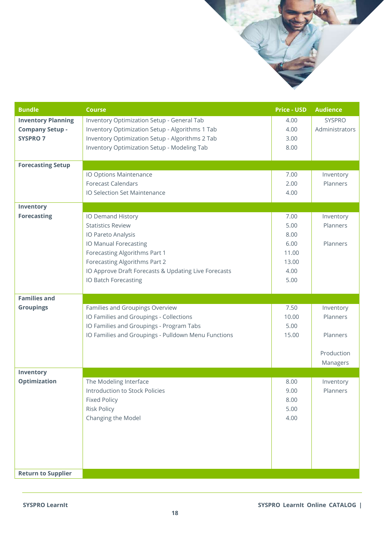

**Return to Supplier**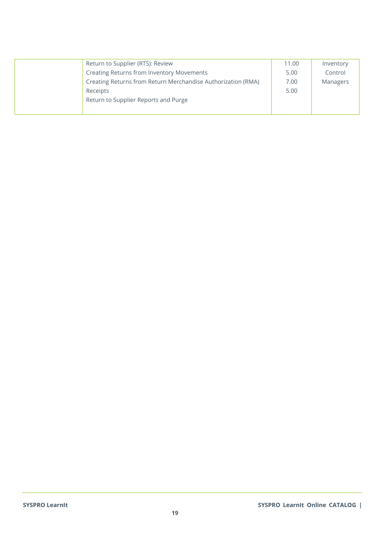| Return to Supplier (RTS): Review                             | 11.00 | Inventory |
|--------------------------------------------------------------|-------|-----------|
| Creating Returns from Inventory Movements                    | 5.00  | Control   |
| Creating Returns from Return Merchandise Authorization (RMA) | 7.00  | Managers  |
| Receipts                                                     | 5.00  |           |
| Return to Supplier Reports and Purge                         |       |           |
|                                                              |       |           |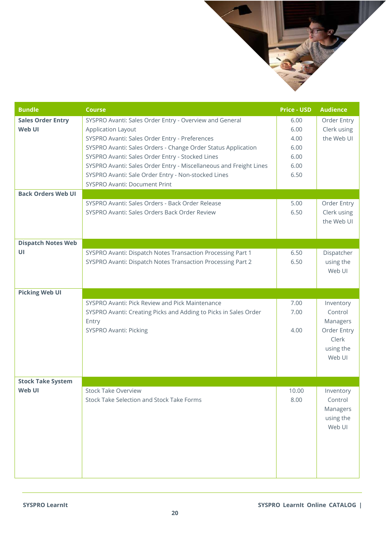

| <b>Bundle</b>                      | <b>Course</b>                                                                                                                                                                                                                                                                                                                                                                                                             | <b>Price - USD</b>                                   | <b>Audience</b>                                                                 |
|------------------------------------|---------------------------------------------------------------------------------------------------------------------------------------------------------------------------------------------------------------------------------------------------------------------------------------------------------------------------------------------------------------------------------------------------------------------------|------------------------------------------------------|---------------------------------------------------------------------------------|
| <b>Sales Order Entry</b><br>Web UI | SYSPRO Avanti: Sales Order Entry - Overview and General<br><b>Application Layout</b><br>SYSPRO Avanti: Sales Order Entry - Preferences<br>SYSPRO Avanti: Sales Orders - Change Order Status Application<br>SYSPRO Avanti: Sales Order Entry - Stocked Lines<br>SYSPRO Avanti: Sales Order Entry - Miscellaneous and Freight Lines<br>SYSPRO Avanti: Sale Order Entry - Non-stocked Lines<br>SYSPRO Avanti: Document Print | 6.00<br>6.00<br>4.00<br>6.00<br>6.00<br>6.00<br>6.50 | Order Entry<br>Clerk using<br>the Web UI                                        |
| <b>Back Orders Web UI</b>          |                                                                                                                                                                                                                                                                                                                                                                                                                           |                                                      |                                                                                 |
|                                    | SYSPRO Avanti: Sales Orders - Back Order Release<br>SYSPRO Avanti: Sales Orders Back Order Review                                                                                                                                                                                                                                                                                                                         | 5.00<br>6.50                                         | Order Entry<br>Clerk using<br>the Web UI                                        |
| <b>Dispatch Notes Web</b>          |                                                                                                                                                                                                                                                                                                                                                                                                                           |                                                      |                                                                                 |
| UI                                 | SYSPRO Avanti: Dispatch Notes Transaction Processing Part 1<br>SYSPRO Avanti: Dispatch Notes Transaction Processing Part 2                                                                                                                                                                                                                                                                                                | 6.50<br>6.50                                         | Dispatcher<br>using the<br>Web UI                                               |
| <b>Picking Web UI</b>              |                                                                                                                                                                                                                                                                                                                                                                                                                           |                                                      |                                                                                 |
|                                    | SYSPRO Avanti: Pick Review and Pick Maintenance<br>SYSPRO Avanti: Creating Picks and Adding to Picks in Sales Order<br>Entry<br>SYSPRO Avanti: Picking                                                                                                                                                                                                                                                                    | 7.00<br>7.00<br>4.00                                 | Inventory<br>Control<br>Managers<br>Order Entry<br>Clerk<br>using the<br>Web UI |
| <b>Stock Take System</b><br>Web UI | <b>Stock Take Overview</b>                                                                                                                                                                                                                                                                                                                                                                                                | 10.00                                                |                                                                                 |
|                                    | Stock Take Selection and Stock Take Forms                                                                                                                                                                                                                                                                                                                                                                                 | 8.00                                                 | Inventory<br>Control<br>Managers<br>using the<br>Web UI                         |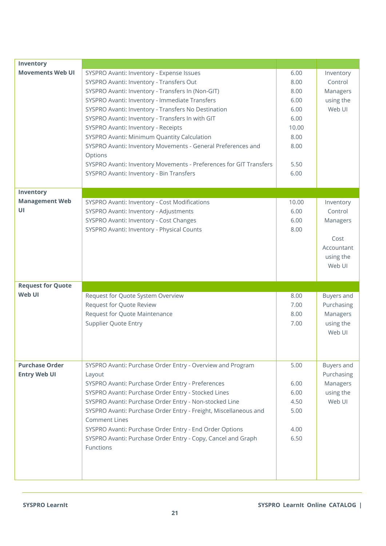| Inventory                |                                                                    |       |            |
|--------------------------|--------------------------------------------------------------------|-------|------------|
| <b>Movements Web UI</b>  | SYSPRO Avanti: Inventory - Expense Issues                          | 6.00  | Inventory  |
|                          | SYSPRO Avanti: Inventory - Transfers Out                           | 8.00  | Control    |
|                          | SYSPRO Avanti: Inventory - Transfers In (Non-GIT)                  | 8.00  | Managers   |
|                          | SYSPRO Avanti: Inventory - Immediate Transfers                     | 6.00  | using the  |
|                          | SYSPRO Avanti: Inventory - Transfers No Destination                | 6.00  | Web UI     |
|                          | SYSPRO Avanti: Inventory - Transfers In with GIT                   | 6.00  |            |
|                          | SYSPRO Avanti: Inventory - Receipts                                | 10.00 |            |
|                          | SYSPRO Avanti: Minimum Quantity Calculation                        | 8.00  |            |
|                          | SYSPRO Avanti: Inventory Movements - General Preferences and       | 8.00  |            |
|                          | Options                                                            |       |            |
|                          | SYSPRO Avanti: Inventory Movements - Preferences for GIT Transfers | 5.50  |            |
|                          | SYSPRO Avanti: Inventory - Bin Transfers                           | 6.00  |            |
|                          |                                                                    |       |            |
| Inventory                |                                                                    |       |            |
| <b>Management Web</b>    | SYSPRO Avanti: Inventory - Cost Modifications                      | 10.00 | Inventory  |
| UI                       | SYSPRO Avanti: Inventory - Adjustments                             | 6.00  | Control    |
|                          | SYSPRO Avanti: Inventory - Cost Changes                            | 6.00  | Managers   |
|                          | SYSPRO Avanti: Inventory - Physical Counts                         | 8.00  |            |
|                          |                                                                    |       | Cost       |
|                          |                                                                    |       | Accountant |
|                          |                                                                    |       | using the  |
|                          |                                                                    |       | Web UI     |
|                          |                                                                    |       |            |
| <b>Request for Quote</b> |                                                                    |       |            |
| Web UI                   | Request for Quote System Overview                                  | 8.00  | Buyers and |
|                          | Request for Quote Review                                           | 7.00  | Purchasing |
|                          | Request for Quote Maintenance                                      | 8.00  | Managers   |
|                          | <b>Supplier Quote Entry</b>                                        | 7.00  | using the  |
|                          |                                                                    |       | Web UI     |
|                          |                                                                    |       |            |
|                          |                                                                    |       |            |
| <b>Purchase Order</b>    | SYSPRO Avanti: Purchase Order Entry - Overview and Program         | 5.00  | Buyers and |
| <b>Entry Web UI</b>      | Layout                                                             |       | Purchasing |
|                          | SYSPRO Avanti: Purchase Order Entry - Preferences                  | 6.00  | Managers   |
|                          | SYSPRO Avanti: Purchase Order Entry - Stocked Lines                | 6.00  | using the  |
|                          | SYSPRO Avanti: Purchase Order Entry - Non-stocked Line             | 4.50  | Web UI     |
|                          | SYSPRO Avanti: Purchase Order Entry - Freight, Miscellaneous and   | 5.00  |            |
|                          | <b>Comment Lines</b>                                               |       |            |
|                          | SYSPRO Avanti: Purchase Order Entry - End Order Options            | 4.00  |            |
|                          | SYSPRO Avanti: Purchase Order Entry - Copy, Cancel and Graph       | 6.50  |            |
|                          | Functions                                                          |       |            |
|                          |                                                                    |       |            |
|                          |                                                                    |       |            |
|                          |                                                                    |       |            |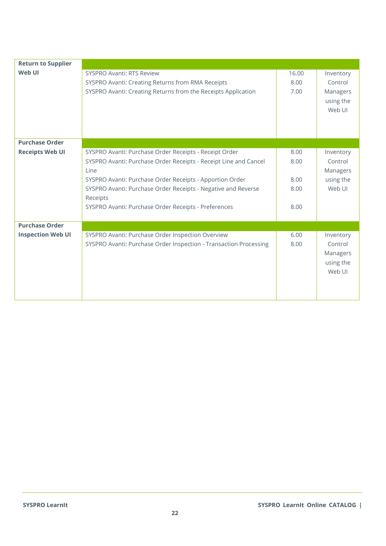| <b>Return to Supplier</b> |                                                                                                                                                                                                                                                                                                                                     |                                      |                                                         |
|---------------------------|-------------------------------------------------------------------------------------------------------------------------------------------------------------------------------------------------------------------------------------------------------------------------------------------------------------------------------------|--------------------------------------|---------------------------------------------------------|
| Web UI                    | <b>SYSPRO Avanti: RTS Review</b><br>SYSPRO Avanti: Creating Returns from RMA Receipts<br>SYSPRO Avanti: Creating Returns from the Receipts Application                                                                                                                                                                              | 16.00<br>8.00<br>7.00                | Inventory<br>Control<br>Managers<br>using the<br>Web UI |
| <b>Purchase Order</b>     |                                                                                                                                                                                                                                                                                                                                     |                                      |                                                         |
| <b>Receipts Web UI</b>    | SYSPRO Avanti: Purchase Order Receipts - Receipt Order<br>SYSPRO Avanti: Purchase Order Receipts - Receipt Line and Cancel<br>Line<br>SYSPRO Avanti: Purchase Order Receipts - Apportion Order<br>SYSPRO Avanti: Purchase Order Receipts - Negative and Reverse<br>Receipts<br>SYSPRO Avanti: Purchase Order Receipts - Preferences | 8.00<br>8.00<br>8.00<br>8.00<br>8.00 | Inventory<br>Control<br>Managers<br>using the<br>Web UI |
| <b>Purchase Order</b>     |                                                                                                                                                                                                                                                                                                                                     |                                      |                                                         |
| <b>Inspection Web UI</b>  | SYSPRO Avanti: Purchase Order Inspection Overview<br>SYSPRO Avanti: Purchase Order Inspection - Transaction Processing                                                                                                                                                                                                              | 6.00<br>8.00                         | Inventory<br>Control<br>Managers<br>using the<br>Web UI |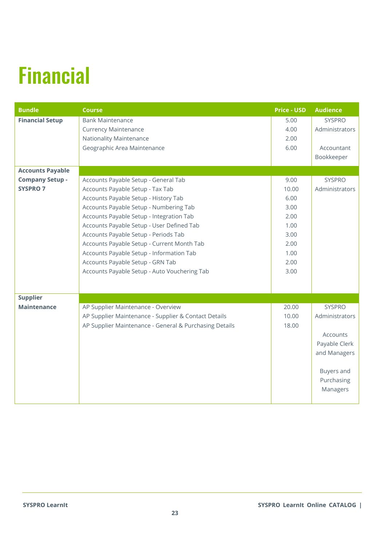# <span id="page-22-0"></span>Financial

| <b>Bundle</b>           | <b>Course</b>                                          | <b>Price - USD</b> | <b>Audience</b> |
|-------------------------|--------------------------------------------------------|--------------------|-----------------|
| <b>Financial Setup</b>  | <b>Bank Maintenance</b>                                | 5.00               | <b>SYSPRO</b>   |
|                         | <b>Currency Maintenance</b>                            | 4.00               | Administrators  |
|                         | Nationality Maintenance                                | 2.00               |                 |
|                         | Geographic Area Maintenance                            | 6.00               | Accountant      |
|                         |                                                        |                    | Bookkeeper      |
| <b>Accounts Payable</b> |                                                        |                    |                 |
| <b>Company Setup -</b>  | Accounts Payable Setup - General Tab                   | 9.00               | <b>SYSPRO</b>   |
| <b>SYSPRO 7</b>         | Accounts Payable Setup - Tax Tab                       | 10.00              | Administrators  |
|                         | Accounts Payable Setup - History Tab                   | 6.00               |                 |
|                         | Accounts Payable Setup - Numbering Tab                 | 3.00               |                 |
|                         | Accounts Payable Setup - Integration Tab               | 2.00               |                 |
|                         | Accounts Payable Setup - User Defined Tab              | 1.00               |                 |
|                         | Accounts Payable Setup - Periods Tab                   | 3.00               |                 |
|                         | Accounts Payable Setup - Current Month Tab             | 2.00               |                 |
|                         | Accounts Payable Setup - Information Tab               | 1.00               |                 |
|                         | Accounts Payable Setup - GRN Tab                       | 2.00               |                 |
|                         | Accounts Payable Setup - Auto Vouchering Tab           | 3.00               |                 |
|                         |                                                        |                    |                 |
| <b>Supplier</b>         |                                                        |                    |                 |
| <b>Maintenance</b>      | AP Supplier Maintenance - Overview                     | 20.00              | <b>SYSPRO</b>   |
|                         | AP Supplier Maintenance - Supplier & Contact Details   | 10.00              | Administrators  |
|                         | AP Supplier Maintenance - General & Purchasing Details | 18.00              |                 |
|                         |                                                        |                    | Accounts        |
|                         |                                                        |                    | Payable Clerk   |
|                         |                                                        |                    | and Managers    |
|                         |                                                        |                    |                 |
|                         |                                                        |                    | Buyers and      |
|                         |                                                        |                    | Purchasing      |
|                         |                                                        |                    | Managers        |
|                         |                                                        |                    |                 |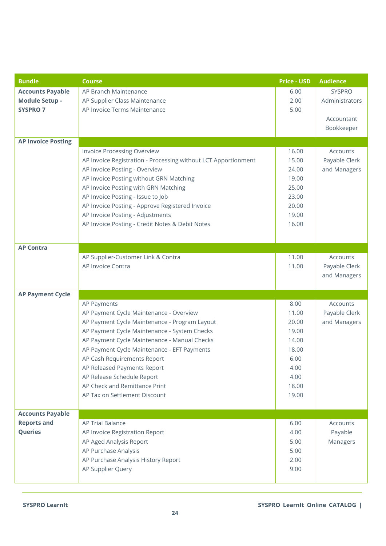| <b>Bundle</b>             | <b>Course</b>                                                  | <b>Price - USD</b> | <b>Audience</b> |
|---------------------------|----------------------------------------------------------------|--------------------|-----------------|
| <b>Accounts Payable</b>   | AP Branch Maintenance                                          | 6.00               | <b>SYSPRO</b>   |
| <b>Module Setup -</b>     | AP Supplier Class Maintenance                                  | 2.00               | Administrators  |
| <b>SYSPRO 7</b>           | AP Invoice Terms Maintenance                                   | 5.00               |                 |
|                           |                                                                |                    | Accountant      |
|                           |                                                                |                    | Bookkeeper      |
| <b>AP Invoice Posting</b> |                                                                |                    |                 |
|                           | Invoice Processing Overview                                    | 16.00              | Accounts        |
|                           | AP Invoice Registration - Processing without LCT Apportionment | 15.00              | Payable Clerk   |
|                           | AP Invoice Posting - Overview                                  | 24.00              | and Managers    |
|                           | AP Invoice Posting without GRN Matching                        | 19.00              |                 |
|                           | AP Invoice Posting with GRN Matching                           | 25.00              |                 |
|                           | AP Invoice Posting - Issue to Job                              | 23.00              |                 |
|                           | AP Invoice Posting - Approve Registered Invoice                | 20.00              |                 |
|                           | AP Invoice Posting - Adjustments                               | 19.00              |                 |
|                           | AP Invoice Posting - Credit Notes & Debit Notes                | 16.00              |                 |
|                           |                                                                |                    |                 |
| <b>AP Contra</b>          |                                                                |                    |                 |
|                           | AP Supplier-Customer Link & Contra                             | 11.00              | Accounts        |
|                           | AP Invoice Contra                                              | 11.00              | Payable Clerk   |
|                           |                                                                |                    | and Managers    |
|                           |                                                                |                    |                 |
| <b>AP Payment Cycle</b>   |                                                                |                    |                 |
|                           | AP Payments                                                    | 8.00               | Accounts        |
|                           | AP Payment Cycle Maintenance - Overview                        | 11.00              | Payable Clerk   |
|                           | AP Payment Cycle Maintenance - Program Layout                  | 20.00              | and Managers    |
|                           | AP Payment Cycle Maintenance - System Checks                   | 19.00              |                 |
|                           | AP Payment Cycle Maintenance - Manual Checks                   | 14.00              |                 |
|                           | AP Payment Cycle Maintenance - EFT Payments                    | 18.00              |                 |
|                           | AP Cash Requirements Report                                    | 6.00               |                 |
|                           | AP Released Payments Report                                    | 4.00               |                 |
|                           | AP Release Schedule Report                                     | 4.00               |                 |
|                           | AP Check and Remittance Print                                  | 18.00              |                 |
|                           | AP Tax on Settlement Discount                                  | 19.00              |                 |
|                           |                                                                |                    |                 |
| <b>Accounts Payable</b>   |                                                                |                    |                 |
| <b>Reports and</b>        | <b>AP Trial Balance</b>                                        | 6.00               | Accounts        |
| Queries                   | AP Invoice Registration Report                                 | 4.00               | Payable         |
|                           | AP Aged Analysis Report                                        | 5.00               | Managers        |
|                           | AP Purchase Analysis                                           | 5.00               |                 |
|                           | AP Purchase Analysis History Report                            | 2.00               |                 |
|                           | AP Supplier Query                                              | 9.00               |                 |
|                           |                                                                |                    |                 |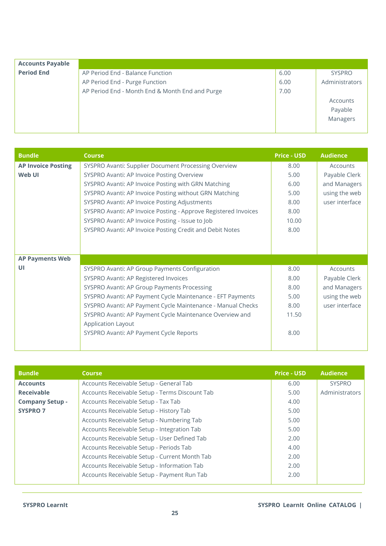| <b>Accounts Payable</b> |                                                 |      |                |
|-------------------------|-------------------------------------------------|------|----------------|
| <b>Period End</b>       | AP Period End - Balance Function                | 6.00 | <b>SYSPRO</b>  |
|                         | AP Period End - Purge Function                  | 6.00 | Administrators |
|                         | AP Period End - Month End & Month End and Purge | 7.00 |                |
|                         |                                                 |      | Accounts       |
|                         |                                                 |      | Payable        |
|                         |                                                 |      | Managers       |
|                         |                                                 |      |                |

| <b>Bundle</b>             | <b>Course</b>                                                   | <b>Price - USD</b> | <b>Audience</b> |
|---------------------------|-----------------------------------------------------------------|--------------------|-----------------|
| <b>AP Invoice Posting</b> | SYSPRO Avanti: Supplier Document Processing Overview            | 8.00               | Accounts        |
| Web UI                    | SYSPRO Avanti: AP Invoice Posting Overview                      | 5.00               | Payable Clerk   |
|                           | SYSPRO Avanti: AP Invoice Posting with GRN Matching             | 6.00               | and Managers    |
|                           | SYSPRO Avanti: AP Invoice Posting without GRN Matching          | 5.00               | using the web   |
|                           | SYSPRO Avanti: AP Invoice Posting Adjustments                   | 8.00               | user interface  |
|                           | SYSPRO Avanti: AP Invoice Posting - Approve Registered Invoices | 8.00               |                 |
|                           | SYSPRO Avanti: AP Invoice Posting - Issue to Job                | 10.00              |                 |
|                           | SYSPRO Avanti: AP Invoice Posting Credit and Debit Notes        | 8.00               |                 |
|                           |                                                                 |                    |                 |
|                           |                                                                 |                    |                 |
| <b>AP Payments Web</b>    |                                                                 |                    |                 |
| UI                        | SYSPRO Avanti: AP Group Payments Configuration                  | 8.00               | Accounts        |
|                           | SYSPRO Avanti: AP Registered Invoices                           | 8.00               | Payable Clerk   |
|                           | SYSPRO Avanti: AP Group Payments Processing                     | 8.00               | and Managers    |
|                           | SYSPRO Avanti: AP Payment Cycle Maintenance - EFT Payments      | 5.00               | using the web   |
|                           | SYSPRO Avanti: AP Payment Cycle Maintenance - Manual Checks     | 8.00               | user interface  |
|                           | SYSPRO Avanti: AP Payment Cycle Maintenance Overview and        | 11.50              |                 |
|                           | Application Layout                                              |                    |                 |
|                           | SYSPRO Avanti: AP Payment Cycle Reports                         | 8.00               |                 |
|                           |                                                                 |                    |                 |

| <b>Bundle</b>          | <b>Course</b>                                  | <b>Price - USD</b> | <b>Audience</b> |
|------------------------|------------------------------------------------|--------------------|-----------------|
| <b>Accounts</b>        | Accounts Receivable Setup - General Tab        | 6.00               | <b>SYSPRO</b>   |
| <b>Receivable</b>      | Accounts Receivable Setup - Terms Discount Tab | 5.00               | Administrators  |
| <b>Company Setup -</b> | Accounts Receivable Setup - Tax Tab            | 4.00               |                 |
| <b>SYSPRO 7</b>        | Accounts Receivable Setup - History Tab        | 5.00               |                 |
|                        | Accounts Receivable Setup - Numbering Tab      | 5.00               |                 |
|                        | Accounts Receivable Setup - Integration Tab    | 5.00               |                 |
|                        | Accounts Receivable Setup - User Defined Tab   | 2.00               |                 |
|                        | Accounts Receivable Setup - Periods Tab        | 4.00               |                 |
|                        | Accounts Receivable Setup - Current Month Tab  | 2.00               |                 |
|                        | Accounts Receivable Setup - Information Tab    | 2.00               |                 |
|                        | Accounts Receivable Setup - Payment Run Tab    | 2.00               |                 |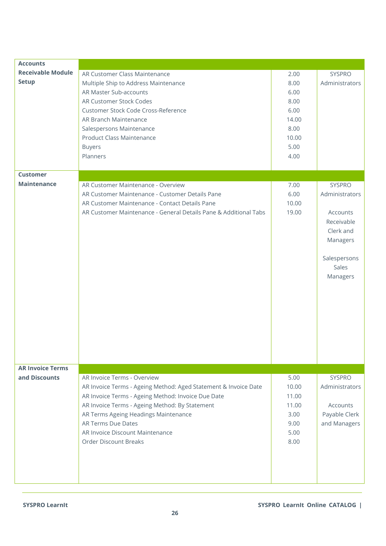| <b>Accounts</b>          |                                                                  |       |                |
|--------------------------|------------------------------------------------------------------|-------|----------------|
| <b>Receivable Module</b> | AR Customer Class Maintenance                                    | 2.00  | SYSPRO         |
| <b>Setup</b>             | Multiple Ship to Address Maintenance                             | 8.00  | Administrators |
|                          | AR Master Sub-accounts                                           | 6.00  |                |
|                          |                                                                  |       |                |
|                          | AR Customer Stock Codes                                          | 8.00  |                |
|                          | Customer Stock Code Cross-Reference                              | 6.00  |                |
|                          | AR Branch Maintenance                                            | 14.00 |                |
|                          | Salespersons Maintenance                                         | 8.00  |                |
|                          | Product Class Maintenance                                        | 10.00 |                |
|                          | <b>Buyers</b>                                                    | 5.00  |                |
|                          | Planners                                                         | 4.00  |                |
|                          |                                                                  |       |                |
| <b>Customer</b>          |                                                                  |       |                |
| <b>Maintenance</b>       | AR Customer Maintenance - Overview                               |       | <b>SYSPRO</b>  |
|                          |                                                                  | 7.00  |                |
|                          | AR Customer Maintenance - Customer Details Pane                  | 6.00  | Administrators |
|                          | AR Customer Maintenance - Contact Details Pane                   | 10.00 |                |
|                          | AR Customer Maintenance - General Details Pane & Additional Tabs | 19.00 | Accounts       |
|                          |                                                                  |       | Receivable     |
|                          |                                                                  |       | Clerk and      |
|                          |                                                                  |       | Managers       |
|                          |                                                                  |       |                |
|                          |                                                                  |       | Salespersons   |
|                          |                                                                  |       | Sales          |
|                          |                                                                  |       |                |
|                          |                                                                  |       | Managers       |
|                          |                                                                  |       |                |
|                          |                                                                  |       |                |
|                          |                                                                  |       |                |
|                          |                                                                  |       |                |
|                          |                                                                  |       |                |
|                          |                                                                  |       |                |
|                          |                                                                  |       |                |
|                          |                                                                  |       |                |
|                          |                                                                  |       |                |
|                          |                                                                  |       |                |
| <b>AR Invoice Terms</b>  |                                                                  |       |                |
| and Discounts            | AR Invoice Terms - Overview                                      | 5.00  | <b>SYSPRO</b>  |
|                          | AR Invoice Terms - Ageing Method: Aged Statement & Invoice Date  | 10.00 | Administrators |
|                          | AR Invoice Terms - Ageing Method: Invoice Due Date               | 11.00 |                |
|                          | AR Invoice Terms - Ageing Method: By Statement                   | 11.00 | Accounts       |
|                          | AR Terms Ageing Headings Maintenance                             | 3.00  | Payable Clerk  |
|                          | <b>AR Terms Due Dates</b>                                        | 9.00  | and Managers   |
|                          | AR Invoice Discount Maintenance                                  | 5.00  |                |
|                          |                                                                  |       |                |
|                          | <b>Order Discount Breaks</b>                                     | 8.00  |                |
|                          |                                                                  |       |                |
|                          |                                                                  |       |                |
|                          |                                                                  |       |                |
|                          |                                                                  |       |                |
|                          |                                                                  |       |                |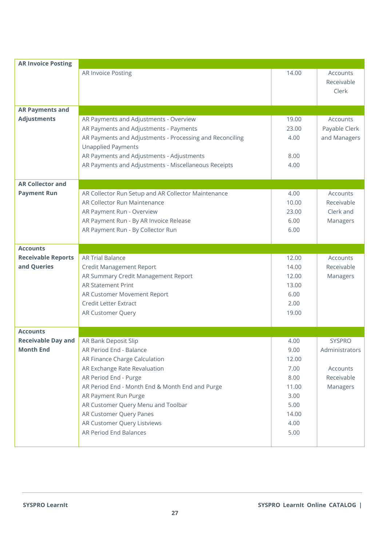| <b>AR Invoice Posting</b> |                                                          |       |                |
|---------------------------|----------------------------------------------------------|-------|----------------|
|                           | AR Invoice Posting                                       | 14.00 | Accounts       |
|                           |                                                          |       | Receivable     |
|                           |                                                          |       | Clerk          |
|                           |                                                          |       |                |
| <b>AR Payments and</b>    |                                                          |       |                |
| <b>Adjustments</b>        | AR Payments and Adjustments - Overview                   | 19.00 | Accounts       |
|                           | AR Payments and Adjustments - Payments                   | 23.00 | Payable Clerk  |
|                           | AR Payments and Adjustments - Processing and Reconciling | 4.00  | and Managers   |
|                           | <b>Unapplied Payments</b>                                |       |                |
|                           | AR Payments and Adjustments - Adjustments                | 8.00  |                |
|                           | AR Payments and Adjustments - Miscellaneous Receipts     | 4.00  |                |
|                           |                                                          |       |                |
| <b>AR Collector and</b>   |                                                          |       |                |
| <b>Payment Run</b>        | AR Collector Run Setup and AR Collector Maintenance      | 4.00  | Accounts       |
|                           | AR Collector Run Maintenance                             | 10.00 | Receivable     |
|                           | AR Payment Run - Overview                                | 23.00 | Clerk and      |
|                           | AR Payment Run - By AR Invoice Release                   | 6.00  | Managers       |
|                           | AR Payment Run - By Collector Run                        | 6.00  |                |
|                           |                                                          |       |                |
| <b>Accounts</b>           |                                                          |       |                |
| <b>Receivable Reports</b> | <b>AR Trial Balance</b>                                  | 12.00 | Accounts       |
| and Queries               | <b>Credit Management Report</b>                          | 14.00 | Receivable     |
|                           | AR Summary Credit Management Report                      | 12.00 | Managers       |
|                           | <b>AR Statement Print</b>                                | 13.00 |                |
|                           | AR Customer Movement Report                              | 6.00  |                |
|                           | <b>Credit Letter Extract</b>                             | 2.00  |                |
|                           | AR Customer Query                                        | 19.00 |                |
|                           |                                                          |       |                |
| <b>Accounts</b>           |                                                          |       |                |
| <b>Receivable Day and</b> | AR Bank Deposit Slip                                     | 4.00  | <b>SYSPRO</b>  |
| <b>Month End</b>          | AR Period End - Balance                                  | 9.00  | Administrators |
|                           | AR Finance Charge Calculation                            | 12.00 |                |
|                           | AR Exchange Rate Revaluation                             | 7.00  | Accounts       |
|                           | AR Period End - Purge                                    | 8.00  | Receivable     |
|                           | AR Period End - Month End & Month End and Purge          | 11.00 | Managers       |
|                           | AR Payment Run Purge                                     | 3.00  |                |
|                           | AR Customer Query Menu and Toolbar                       | 5.00  |                |
|                           | AR Customer Query Panes                                  | 14.00 |                |
|                           | AR Customer Query Listviews                              | 4.00  |                |
|                           | AR Period End Balances                                   | 5.00  |                |
|                           |                                                          |       |                |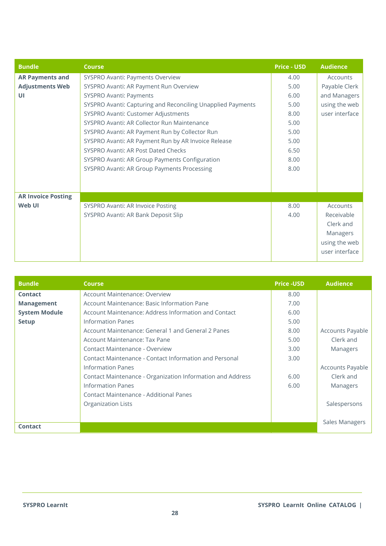| <b>Bundle</b>             | <b>Course</b>                                               | <b>Price - USD</b> | <b>Audience</b> |
|---------------------------|-------------------------------------------------------------|--------------------|-----------------|
| <b>AR Payments and</b>    | SYSPRO Avanti: Payments Overview                            | 4.00               | Accounts        |
| <b>Adjustments Web</b>    | SYSPRO Avanti: AR Payment Run Overview                      | 5.00               | Payable Clerk   |
| UI                        | SYSPRO Avanti: Payments                                     | 6.00               | and Managers    |
|                           | SYSPRO Avanti: Capturing and Reconciling Unapplied Payments | 5.00               | using the web   |
|                           | SYSPRO Avanti: Customer Adjustments                         | 8.00               | user interface  |
|                           | SYSPRO Avanti: AR Collector Run Maintenance                 | 5.00               |                 |
|                           | SYSPRO Avanti: AR Payment Run by Collector Run              | 5.00               |                 |
|                           | SYSPRO Avanti: AR Payment Run by AR Invoice Release         | 5.00               |                 |
|                           | SYSPRO Avanti: AR Post Dated Checks                         | 6.50               |                 |
|                           | SYSPRO Avanti: AR Group Payments Configuration              | 8.00               |                 |
|                           | SYSPRO Avanti: AR Group Payments Processing                 | 8.00               |                 |
|                           |                                                             |                    |                 |
|                           |                                                             |                    |                 |
| <b>AR Invoice Posting</b> |                                                             |                    |                 |
| Web UI                    | SYSPRO Avanti: AR Invoice Posting                           | 8.00               | Accounts        |
|                           | SYSPRO Avanti: AR Bank Deposit Slip                         | 4.00               | Receivable      |
|                           |                                                             |                    | Clerk and       |
|                           |                                                             |                    | Managers        |
|                           |                                                             |                    | using the web   |
|                           |                                                             |                    | user interface  |

| <b>Bundle</b>        | <b>Course</b>                                              | <b>Price -USD</b> | <b>Audience</b>  |
|----------------------|------------------------------------------------------------|-------------------|------------------|
| <b>Contact</b>       | Account Maintenance: Overview                              | 8.00              |                  |
| <b>Management</b>    | Account Maintenance: Basic Information Pane                | 7.00              |                  |
| <b>System Module</b> | Account Maintenance: Address Information and Contact       | 6.00              |                  |
| <b>Setup</b>         | Information Panes                                          | 5.00              |                  |
|                      | Account Maintenance: General 1 and General 2 Panes         | 8.00              | Accounts Payable |
|                      | Account Maintenance: Tax Pane                              | 5.00              | Clerk and        |
|                      | Contact Maintenance - Overview                             | 3.00              | Managers         |
|                      | Contact Maintenance - Contact Information and Personal     | 3.00              |                  |
|                      | Information Panes                                          |                   | Accounts Payable |
|                      | Contact Maintenance - Organization Information and Address | 6.00              | Clerk and        |
|                      | <b>Information Panes</b>                                   | 6.00              | Managers         |
|                      | Contact Maintenance - Additional Panes                     |                   |                  |
|                      | <b>Organization Lists</b>                                  |                   | Salespersons     |
|                      |                                                            |                   |                  |
|                      |                                                            |                   | Sales Managers   |
| Contact              |                                                            |                   |                  |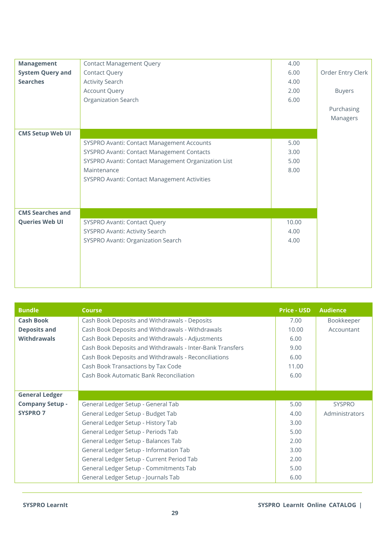| <b>Management</b>       | <b>Contact Management Query</b>                     | 4.00  |                   |
|-------------------------|-----------------------------------------------------|-------|-------------------|
| <b>System Query and</b> | <b>Contact Query</b>                                | 6.00  | Order Entry Clerk |
| <b>Searches</b>         | <b>Activity Search</b>                              | 4.00  |                   |
|                         | Account Query                                       | 2.00  | <b>Buyers</b>     |
|                         | Organization Search                                 | 6.00  |                   |
|                         |                                                     |       | Purchasing        |
|                         |                                                     |       | Managers          |
| <b>CMS Setup Web UI</b> |                                                     |       |                   |
|                         |                                                     | 5.00  |                   |
|                         | SYSPRO Avanti: Contact Management Accounts          |       |                   |
|                         | SYSPRO Avanti: Contact Management Contacts          | 3.00  |                   |
|                         | SYSPRO Avanti: Contact Management Organization List | 5.00  |                   |
|                         | Maintenance                                         | 8.00  |                   |
|                         | SYSPRO Avanti: Contact Management Activities        |       |                   |
|                         |                                                     |       |                   |
|                         |                                                     |       |                   |
|                         |                                                     |       |                   |
| <b>CMS Searches and</b> |                                                     |       |                   |
| <b>Queries Web UI</b>   | SYSPRO Avanti: Contact Query                        | 10.00 |                   |
|                         | SYSPRO Avanti: Activity Search                      | 4.00  |                   |
|                         | SYSPRO Avanti: Organization Search                  | 4.00  |                   |
|                         |                                                     |       |                   |
|                         |                                                     |       |                   |
|                         |                                                     |       |                   |
|                         |                                                     |       |                   |
|                         |                                                     |       |                   |

| <b>Bundle</b>          | <b>Course</b>                                             | <b>Price - USD</b> | <b>Audience</b> |
|------------------------|-----------------------------------------------------------|--------------------|-----------------|
| <b>Cash Book</b>       | Cash Book Deposits and Withdrawals - Deposits             | 7.00               | Bookkeeper      |
| <b>Deposits and</b>    | Cash Book Deposits and Withdrawals - Withdrawals          | 10.00              | Accountant      |
| <b>Withdrawals</b>     | Cash Book Deposits and Withdrawals - Adjustments          | 6.00               |                 |
|                        | Cash Book Deposits and Withdrawals - Inter-Bank Transfers | 9.00               |                 |
|                        | Cash Book Deposits and Withdrawals - Reconciliations      | 6.00               |                 |
|                        | Cash Book Transactions by Tax Code                        | 11.00              |                 |
|                        | Cash Book Automatic Bank Reconciliation                   | 6.00               |                 |
|                        |                                                           |                    |                 |
| <b>General Ledger</b>  |                                                           |                    |                 |
| <b>Company Setup -</b> | General Ledger Setup - General Tab                        | 5.00               | <b>SYSPRO</b>   |
| <b>SYSPRO 7</b>        | General Ledger Setup - Budget Tab                         | 4.00               | Administrators  |
|                        | General Ledger Setup - History Tab                        | 3.00               |                 |
|                        | General Ledger Setup - Periods Tab                        | 5.00               |                 |
|                        | General Ledger Setup - Balances Tab                       | 2.00               |                 |
|                        | General Ledger Setup - Information Tab                    | 3.00               |                 |
|                        | General Ledger Setup - Current Period Tab                 | 2.00               |                 |
|                        | General Ledger Setup - Commitments Tab                    | 5.00               |                 |
|                        | General Ledger Setup - Journals Tab                       | 6.00               |                 |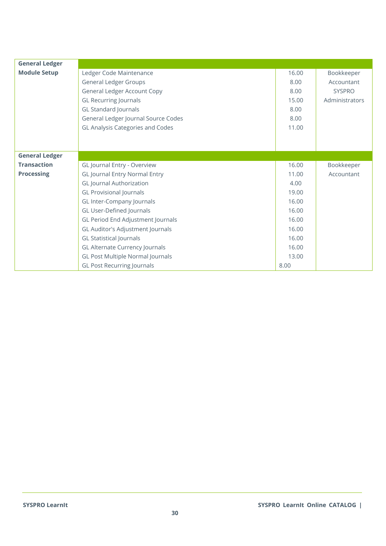<span id="page-29-0"></span>

| <b>General Ledger</b> |                                      |       |                |
|-----------------------|--------------------------------------|-------|----------------|
| <b>Module Setup</b>   | Ledger Code Maintenance              | 16.00 | Bookkeeper     |
|                       | <b>General Ledger Groups</b>         | 8.00  | Accountant     |
|                       | <b>General Ledger Account Copy</b>   | 8.00  | <b>SYSPRO</b>  |
|                       | <b>GL Recurring Journals</b>         | 15.00 | Administrators |
|                       | <b>GL Standard Journals</b>          | 8.00  |                |
|                       | General Ledger Journal Source Codes  | 8.00  |                |
|                       | GL Analysis Categories and Codes     | 11.00 |                |
|                       |                                      |       |                |
|                       |                                      |       |                |
| <b>General Ledger</b> |                                      |       |                |
| <b>Transaction</b>    | GL Journal Entry - Overview          | 16.00 | Bookkeeper     |
| <b>Processing</b>     | <b>GL Journal Entry Normal Entry</b> | 11.00 | Accountant     |
|                       | <b>GL</b> Journal Authorization      | 4.00  |                |
|                       | <b>GL Provisional Journals</b>       | 19.00 |                |
|                       | GL Inter-Company Journals            | 16.00 |                |
|                       | GL User-Defined Journals             | 16.00 |                |
|                       | GL Period End Adjustment Journals    | 16.00 |                |
|                       | GL Auditor's Adjustment Journals     | 16.00 |                |
|                       | <b>GL Statistical Journals</b>       | 16.00 |                |
|                       | GL Alternate Currency Journals       | 16.00 |                |
|                       | GL Post Multiple Normal Journals     | 13.00 |                |
|                       | <b>GL Post Recurring Journals</b>    | 8.00  |                |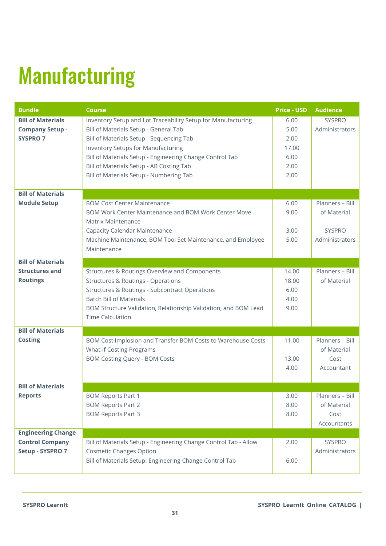# Manufacturing

| <b>Bundle</b>             | <b>Course</b>                                                    | <b>Price - USD</b> | <b>Audience</b> |
|---------------------------|------------------------------------------------------------------|--------------------|-----------------|
| <b>Bill of Materials</b>  | Inventory Setup and Lot Traceability Setup for Manufacturing     | 6.00               | <b>SYSPRO</b>   |
| <b>Company Setup -</b>    | Bill of Materials Setup - General Tab                            | 5.00               | Administrators  |
| <b>SYSPRO 7</b>           | Bill of Materials Setup - Sequencing Tab                         | 2.00               |                 |
|                           | <b>Inventory Setups for Manufacturing</b>                        | 17.00              |                 |
|                           | Bill of Materials Setup - Engineering Change Control Tab         | 6.00               |                 |
|                           | Bill of Materials Setup - AB Costing Tab                         | 2.00               |                 |
|                           | Bill of Materials Setup - Numbering Tab                          | 2.00               |                 |
|                           |                                                                  |                    |                 |
| <b>Bill of Materials</b>  |                                                                  |                    |                 |
| <b>Module Setup</b>       | <b>BOM Cost Center Maintenance</b>                               | 6.00               | Planners - Bill |
|                           | BOM Work Center Maintenance and BOM Work Center Move             | 9.00               | of Material     |
|                           | Matrix Maintenance                                               |                    |                 |
|                           | <b>Capacity Calendar Maintenance</b>                             | 3.00               | <b>SYSPRO</b>   |
|                           | Machine Maintenance, BOM Tool Set Maintenance, and Employee      | 5.00               | Administrators  |
|                           | Maintenance                                                      |                    |                 |
| <b>Bill of Materials</b>  |                                                                  |                    |                 |
| <b>Structures and</b>     | Structures & Routings Overview and Components                    | 14.00              | Planners - Bill |
| <b>Routings</b>           | <b>Structures &amp; Routings - Operations</b>                    | 18.00              | of Material     |
|                           | Structures & Routings - Subcontract Operations                   | 6.00               |                 |
|                           | <b>Batch Bill of Materials</b>                                   | 4.00               |                 |
|                           | BOM Structure Validation, Relationship Validation, and BOM Lead  | 9.00               |                 |
|                           | <b>Time Calculation</b>                                          |                    |                 |
| <b>Bill of Materials</b>  |                                                                  |                    |                 |
| <b>Costing</b>            | BOM Cost Implosion and Transfer BOM Costs to Warehouse Costs     | 11.00              | Planners - Bill |
|                           | <b>What-if Costing Programs</b>                                  |                    | of Material     |
|                           | <b>BOM Costing Query - BOM Costs</b>                             | 13.00              | Cost            |
|                           |                                                                  | 4.00               | Accountant      |
|                           |                                                                  |                    |                 |
| <b>Bill of Materials</b>  |                                                                  |                    |                 |
| <b>Reports</b>            | <b>BOM Reports Part 1</b>                                        | 3.00               | Planners - Bill |
|                           | <b>BOM Reports Part 2</b>                                        | 8.00               | of Material     |
|                           | <b>BOM Reports Part 3</b>                                        | 8.00               | Cost            |
|                           |                                                                  |                    | Accountants     |
| <b>Engineering Change</b> |                                                                  |                    |                 |
| <b>Control Company</b>    | Bill of Materials Setup - Engineering Change Control Tab - Allow | 2.00               | <b>SYSPRO</b>   |
| Setup - SYSPRO 7          | <b>Cosmetic Changes Option</b>                                   |                    | Administrators  |
|                           | Bill of Materials Setup: Engineering Change Control Tab          | 6.00               |                 |
|                           |                                                                  |                    |                 |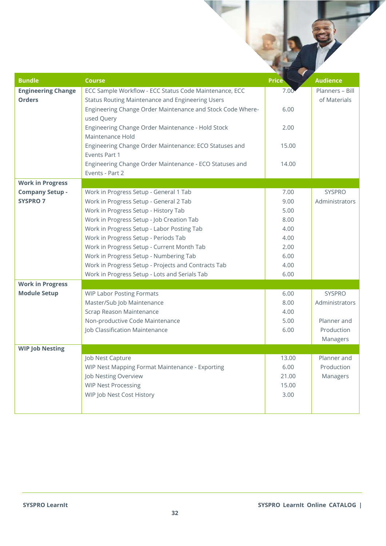| <b>Bundle</b>             | <b>Course</b>                                                           | <b>Price</b> | <b>Audience</b> |
|---------------------------|-------------------------------------------------------------------------|--------------|-----------------|
| <b>Engineering Change</b> | ECC Sample Workflow - ECC Status Code Maintenance, ECC                  | 7.00         | Planners - Bill |
| <b>Orders</b>             | <b>Status Routing Maintenance and Engineering Users</b>                 |              | of Materials    |
|                           | Engineering Change Order Maintenance and Stock Code Where-              | 6.00         |                 |
|                           | used Query                                                              |              |                 |
|                           | Engineering Change Order Maintenance - Hold Stock<br>Maintenance Hold   | 2.00         |                 |
|                           | Engineering Change Order Maintenance: ECO Statuses and<br>Events Part 1 | 15.00        |                 |
|                           | Engineering Change Order Maintenance - ECO Statuses and                 | 14.00        |                 |
|                           | Events - Part 2                                                         |              |                 |
| <b>Work in Progress</b>   |                                                                         |              |                 |
| <b>Company Setup -</b>    | Work in Progress Setup - General 1 Tab                                  | 7.00         | <b>SYSPRO</b>   |
| <b>SYSPRO 7</b>           | Work in Progress Setup - General 2 Tab                                  | 9.00         | Administrators  |
|                           | Work in Progress Setup - History Tab                                    | 5.00         |                 |
|                           | Work in Progress Setup - Job Creation Tab                               | 8.00         |                 |
|                           | Work in Progress Setup - Labor Posting Tab                              | 4.00         |                 |
|                           | Work in Progress Setup - Periods Tab                                    | 4.00         |                 |
|                           | Work in Progress Setup - Current Month Tab                              | 2.00         |                 |
|                           | Work in Progress Setup - Numbering Tab                                  | 6.00         |                 |
|                           | Work in Progress Setup - Projects and Contracts Tab                     | 4.00         |                 |
|                           | Work in Progress Setup - Lots and Serials Tab                           | 6.00         |                 |
| <b>Work in Progress</b>   |                                                                         |              |                 |
| <b>Module Setup</b>       | <b>WIP Labor Posting Formats</b>                                        | 6.00         | <b>SYSPRO</b>   |
|                           | Master/Sub Job Maintenance                                              | 8.00         | Administrators  |
|                           | Scrap Reason Maintenance                                                | 4.00         |                 |
|                           | Non-productive Code Maintenance                                         | 5.00         | Planner and     |
|                           | Job Classification Maintenance                                          | 6.00         | Production      |
|                           |                                                                         |              | Managers        |
| <b>WIP Job Nesting</b>    |                                                                         |              |                 |
|                           | Job Nest Capture                                                        | 13.00        | Planner and     |
|                           | WIP Nest Mapping Format Maintenance - Exporting                         | 6.00         | Production      |
|                           | Job Nesting Overview                                                    | 21.00        | Managers        |
|                           | <b>WIP Nest Processing</b>                                              | 15.00        |                 |
|                           | WIP Job Nest Cost History                                               | 3.00         |                 |
|                           |                                                                         |              |                 |
|                           |                                                                         |              |                 |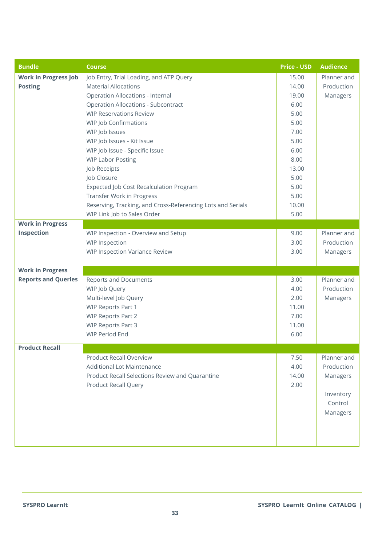| <b>Bundle</b>               | <b>Course</b>                                               | <b>Price - USD</b> | <b>Audience</b> |
|-----------------------------|-------------------------------------------------------------|--------------------|-----------------|
| <b>Work in Progress Job</b> | Job Entry, Trial Loading, and ATP Query                     | 15.00              | Planner and     |
| <b>Posting</b>              | <b>Material Allocations</b>                                 | 14.00              | Production      |
|                             | <b>Operation Allocations - Internal</b>                     | 19.00              | Managers        |
|                             | <b>Operation Allocations - Subcontract</b>                  | 6.00               |                 |
|                             | <b>WIP Reservations Review</b>                              | 5.00               |                 |
|                             | WIP Job Confirmations                                       | 5.00               |                 |
|                             | WIP Job Issues                                              | 7.00               |                 |
|                             | WIP Job Issues - Kit Issue                                  | 5.00               |                 |
|                             | WIP Job Issue - Specific Issue                              | 6.00               |                 |
|                             | <b>WIP Labor Posting</b>                                    | 8.00               |                 |
|                             | Job Receipts                                                | 13.00              |                 |
|                             | Job Closure                                                 | 5.00               |                 |
|                             | <b>Expected Job Cost Recalculation Program</b>              | 5.00               |                 |
|                             | <b>Transfer Work in Progress</b>                            | 5.00               |                 |
|                             | Reserving, Tracking, and Cross-Referencing Lots and Serials | 10.00              |                 |
|                             | WIP Link Job to Sales Order                                 | 5.00               |                 |
| <b>Work in Progress</b>     |                                                             |                    |                 |
| Inspection                  | WIP Inspection - Overview and Setup                         | 9.00               | Planner and     |
|                             | <b>WIP Inspection</b>                                       | 3.00               | Production      |
|                             | <b>WIP Inspection Variance Review</b>                       | 3.00               | Managers        |
|                             |                                                             |                    |                 |
| <b>Work in Progress</b>     |                                                             |                    |                 |
| <b>Reports and Queries</b>  | <b>Reports and Documents</b>                                | 3.00               | Planner and     |
|                             | WIP Job Query                                               | 4.00               | Production      |
|                             | Multi-level Job Query                                       | 2.00               | Managers        |
|                             | <b>WIP Reports Part 1</b>                                   | 11.00              |                 |
|                             | <b>WIP Reports Part 2</b>                                   | 7.00               |                 |
|                             | <b>WIP Reports Part 3</b>                                   | 11.00              |                 |
|                             | <b>WIP Period End</b>                                       | 6.00               |                 |
| <b>Product Recall</b>       |                                                             |                    |                 |
|                             | <b>Product Recall Overview</b>                              | 7.50               | Planner and     |
|                             | <b>Additional Lot Maintenance</b>                           | 4.00               | Production      |
|                             | Product Recall Selections Review and Quarantine             | 14.00              | Managers        |
|                             | <b>Product Recall Query</b>                                 | 2.00               |                 |
|                             |                                                             |                    | Inventory       |
|                             |                                                             |                    | Control         |
|                             |                                                             |                    |                 |
|                             |                                                             |                    | Managers        |
|                             |                                                             |                    |                 |
|                             |                                                             |                    |                 |
|                             |                                                             |                    |                 |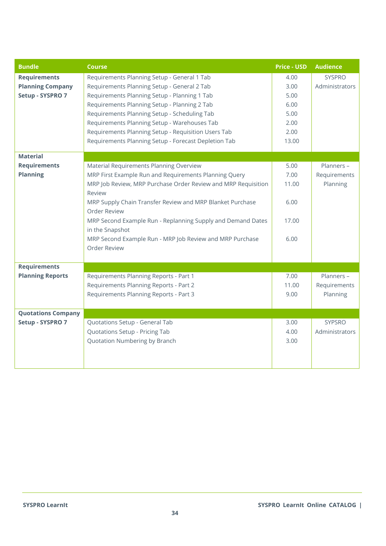| <b>Bundle</b>             | <b>Course</b>                                                 | <b>Price - USD</b> | <b>Audience</b> |
|---------------------------|---------------------------------------------------------------|--------------------|-----------------|
| <b>Requirements</b>       | Requirements Planning Setup - General 1 Tab                   | 4.00               | SYSPRO          |
| <b>Planning Company</b>   | Requirements Planning Setup - General 2 Tab                   | 3.00               | Administrators  |
| Setup - SYSPRO 7          | Requirements Planning Setup - Planning 1 Tab                  | 5.00               |                 |
|                           | Requirements Planning Setup - Planning 2 Tab                  | 6.00               |                 |
|                           | Requirements Planning Setup - Scheduling Tab                  | 5.00               |                 |
|                           | Requirements Planning Setup - Warehouses Tab                  | 2.00               |                 |
|                           | Requirements Planning Setup - Requisition Users Tab           | 2.00               |                 |
|                           | Requirements Planning Setup - Forecast Depletion Tab          | 13.00              |                 |
| <b>Material</b>           |                                                               |                    |                 |
| <b>Requirements</b>       | Material Requirements Planning Overview                       | 5.00               | Planners -      |
| <b>Planning</b>           | MRP First Example Run and Requirements Planning Query         | 7.00               | Requirements    |
|                           | MRP Job Review, MRP Purchase Order Review and MRP Requisition | 11.00              | Planning        |
|                           | Review                                                        |                    |                 |
|                           | MRP Supply Chain Transfer Review and MRP Blanket Purchase     | 6.00               |                 |
|                           | Order Review                                                  |                    |                 |
|                           | MRP Second Example Run - Replanning Supply and Demand Dates   | 17.00              |                 |
|                           | in the Snapshot                                               |                    |                 |
|                           | MRP Second Example Run - MRP Job Review and MRP Purchase      | 6.00               |                 |
|                           | Order Review                                                  |                    |                 |
|                           |                                                               |                    |                 |
| <b>Requirements</b>       |                                                               |                    |                 |
| <b>Planning Reports</b>   | Requirements Planning Reports - Part 1                        | 7.00               | Planners -      |
|                           | Requirements Planning Reports - Part 2                        | 11.00              | Requirements    |
|                           | Requirements Planning Reports - Part 3                        | 9.00               | Planning        |
|                           |                                                               |                    |                 |
| <b>Quotations Company</b> |                                                               |                    |                 |
| Setup - SYSPRO 7          | Quotations Setup - General Tab                                | 3.00               | SYPSRO          |
|                           | Quotations Setup - Pricing Tab                                | 4.00               | Administrators  |
|                           | Quotation Numbering by Branch                                 | 3.00               |                 |
|                           |                                                               |                    |                 |
|                           |                                                               |                    |                 |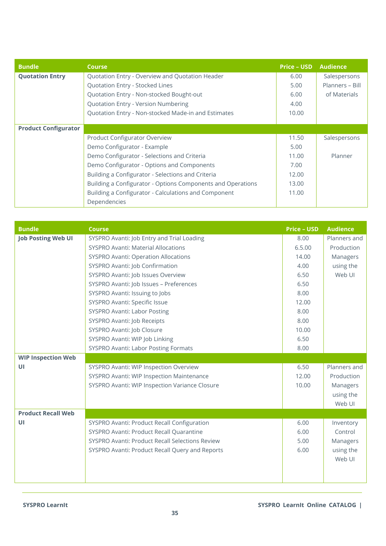| <b>Bundle</b>               | <b>Course</b>                                               | <b>Price - USD</b> | <b>Audience</b> |
|-----------------------------|-------------------------------------------------------------|--------------------|-----------------|
| <b>Quotation Entry</b>      | Quotation Entry - Overview and Quotation Header             | 6.00               | Salespersons    |
|                             | Quotation Entry - Stocked Lines                             | 5.00               | Planners - Bill |
|                             | Quotation Entry - Non-stocked Bought-out                    | 6.00               | of Materials    |
|                             | Quotation Entry - Version Numbering                         | 4.00               |                 |
|                             | Quotation Entry - Non-stocked Made-in and Estimates         | 10.00              |                 |
|                             |                                                             |                    |                 |
| <b>Product Configurator</b> |                                                             |                    |                 |
|                             | <b>Product Configurator Overview</b>                        | 11.50              | Salespersons    |
|                             | Demo Configurator - Example                                 | 5.00               |                 |
|                             | Demo Configurator - Selections and Criteria                 | 11.00              | Planner         |
|                             | Demo Configurator - Options and Components                  | 7.00               |                 |
|                             | Building a Configurator - Selections and Criteria           | 12.00              |                 |
|                             | Building a Configurator - Options Components and Operations | 13.00              |                 |
|                             | Building a Configurator - Calculations and Component        | 11.00              |                 |
|                             | Dependencies                                                |                    |                 |

| <b>Bundle</b>             | <b>Course</b>                                   | <b>Price - USD</b> | <b>Audience</b> |
|---------------------------|-------------------------------------------------|--------------------|-----------------|
| <b>Job Posting Web UI</b> | SYSPRO Avanti: Job Entry and Trial Loading      | 8.00               | Planners and    |
|                           | <b>SYSPRO Avanti: Material Allocations</b>      | 6.5.00             | Production      |
|                           | <b>SYSPRO Avanti: Operation Allocations</b>     | 14.00              | Managers        |
|                           | SYSPRO Avanti: Job Confirmation                 | 4.00               | using the       |
|                           | SYSPRO Avanti: Job Issues Overview              | 6.50               | Web UI          |
|                           | SYSPRO Avanti: Job Issues - Preferences         | 6.50               |                 |
|                           | SYSPRO Avanti: Issuing to Jobs                  | 8.00               |                 |
|                           | SYSPRO Avanti: Specific Issue                   | 12.00              |                 |
|                           | <b>SYSPRO Avanti: Labor Posting</b>             | 8.00               |                 |
|                           | SYSPRO Avanti: Job Receipts                     | 8.00               |                 |
|                           | SYSPRO Avanti: Job Closure                      | 10.00              |                 |
|                           | SYSPRO Avanti: WIP Job Linking                  | 6.50               |                 |
|                           | <b>SYSPRO Avanti: Labor Posting Formats</b>     | 8.00               |                 |
| <b>WIP Inspection Web</b> |                                                 |                    |                 |
| UI                        | SYSPRO Avanti: WIP Inspection Overview          | 6.50               | Planners and    |
|                           | SYSPRO Avanti: WIP Inspection Maintenance       | 12.00              | Production      |
|                           | SYSPRO Avanti: WIP Inspection Variance Closure  | 10.00              | Managers        |
|                           |                                                 |                    | using the       |
|                           |                                                 |                    | Web UI          |
| <b>Product Recall Web</b> |                                                 |                    |                 |
| UI                        | SYSPRO Avanti: Product Recall Configuration     | 6.00               | Inventory       |
|                           | SYSPRO Avanti: Product Recall Quarantine        | 6.00               | Control         |
|                           | SYSPRO Avanti: Product Recall Selections Review | 5.00               | Managers        |
|                           | SYSPRO Avanti: Product Recall Query and Reports | 6.00               | using the       |
|                           |                                                 |                    | Web UI          |
|                           |                                                 |                    |                 |
|                           |                                                 |                    |                 |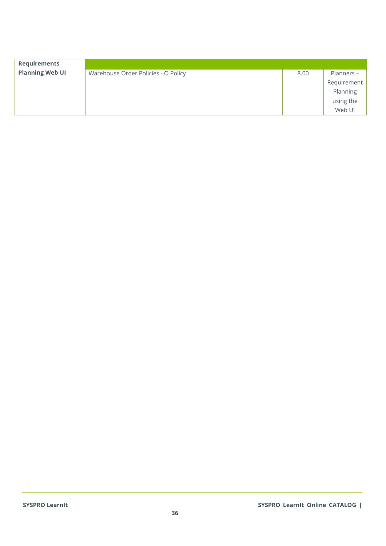| <b>Requirements</b>    |                                     |      |             |
|------------------------|-------------------------------------|------|-------------|
| <b>Planning Web UI</b> | Warehouse Order Policies - O Policy | 8.00 | Planners -  |
|                        |                                     |      | Requirement |
|                        |                                     |      | Planning    |
|                        |                                     |      | using the   |
|                        |                                     |      | Web UI      |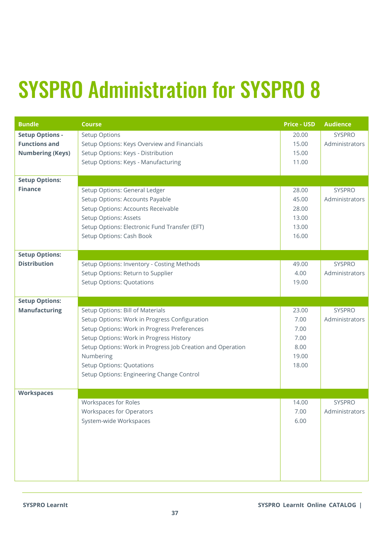#### <span id="page-36-0"></span>SYSPRO Administration for SYSPRO 8

| <b>Bundle</b><br><b>Setup Options -</b><br><b>Functions and</b><br><b>Numbering (Keys)</b><br><b>Setup Options:</b><br><b>Finance</b> | <b>Course</b><br>Setup Options<br>Setup Options: Keys Overview and Financials<br>Setup Options: Keys - Distribution<br>Setup Options: Keys - Manufacturing<br>Setup Options: General Ledger<br>Setup Options: Accounts Payable<br>Setup Options: Accounts Receivable<br>Setup Options: Assets<br>Setup Options: Electronic Fund Transfer (EFT) | <b>Price - USD</b><br>20.00<br>15.00<br>15.00<br>11.00<br>28.00<br>45.00<br>28.00<br>13.00<br>13.00 | <b>Audience</b><br><b>SYSPRO</b><br>Administrators<br><b>SYSPRO</b><br>Administrators |
|---------------------------------------------------------------------------------------------------------------------------------------|------------------------------------------------------------------------------------------------------------------------------------------------------------------------------------------------------------------------------------------------------------------------------------------------------------------------------------------------|-----------------------------------------------------------------------------------------------------|---------------------------------------------------------------------------------------|
|                                                                                                                                       | Setup Options: Cash Book                                                                                                                                                                                                                                                                                                                       | 16.00                                                                                               |                                                                                       |
| <b>Setup Options:</b><br><b>Distribution</b>                                                                                          | Setup Options: Inventory - Costing Methods<br>Setup Options: Return to Supplier<br><b>Setup Options: Quotations</b>                                                                                                                                                                                                                            | 49.00<br>4.00<br>19.00                                                                              | <b>SYSPRO</b><br>Administrators                                                       |
| <b>Setup Options:</b>                                                                                                                 |                                                                                                                                                                                                                                                                                                                                                |                                                                                                     |                                                                                       |
| <b>Manufacturing</b>                                                                                                                  | Setup Options: Bill of Materials<br>Setup Options: Work in Progress Configuration<br>Setup Options: Work in Progress Preferences<br>Setup Options: Work in Progress History<br>Setup Options: Work in Progress Job Creation and Operation<br>Numbering<br>Setup Options: Quotations<br>Setup Options: Engineering Change Control               | 23.00<br>7.00<br>7.00<br>7.00<br>8.00<br>19.00<br>18.00                                             | <b>SYSPRO</b><br>Administrators                                                       |
| <b>Workspaces</b>                                                                                                                     |                                                                                                                                                                                                                                                                                                                                                |                                                                                                     |                                                                                       |
|                                                                                                                                       | Workspaces for Roles<br><b>Workspaces for Operators</b><br>System-wide Workspaces                                                                                                                                                                                                                                                              | 14.00<br>7.00<br>6.00                                                                               | <b>SYSPRO</b><br>Administrators                                                       |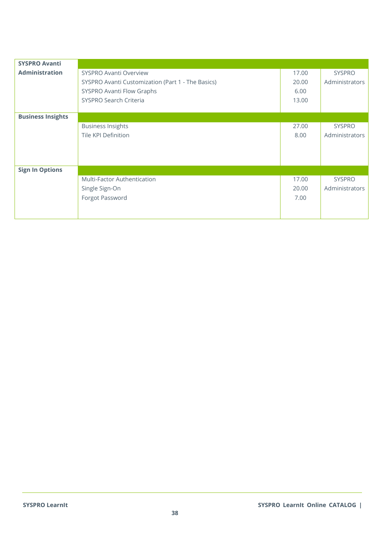| <b>SYSPRO Avanti</b>     |                                                   |       |                |
|--------------------------|---------------------------------------------------|-------|----------------|
| <b>Administration</b>    | <b>SYSPRO Avanti Overview</b>                     | 17.00 | <b>SYSPRO</b>  |
|                          | SYSPRO Avanti Customization (Part 1 - The Basics) | 20.00 | Administrators |
|                          | SYSPRO Avanti Flow Graphs                         | 6.00  |                |
|                          | SYSPRO Search Criteria                            | 13.00 |                |
|                          |                                                   |       |                |
| <b>Business Insights</b> |                                                   |       |                |
|                          | <b>Business Insights</b>                          | 27.00 | <b>SYSPRO</b>  |
|                          | <b>Tile KPI Definition</b>                        | 8.00  | Administrators |
|                          |                                                   |       |                |
|                          |                                                   |       |                |
|                          |                                                   |       |                |
| <b>Sign In Options</b>   |                                                   |       |                |
|                          | <b>Multi-Factor Authentication</b>                | 17.00 | <b>SYSPRO</b>  |
|                          | Single Sign-On                                    | 20.00 | Administrators |
|                          | Forgot Password                                   | 7.00  |                |
|                          |                                                   |       |                |
|                          |                                                   |       |                |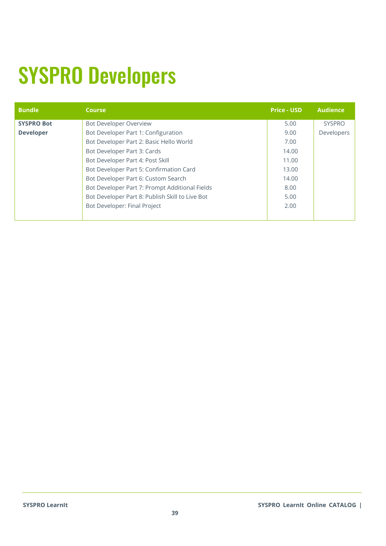## <span id="page-38-0"></span>SYSPRO Developers

| <b>Bundle</b>     | <b>Course</b>                                   | <b>Price - USD</b> | <b>Audience</b> |
|-------------------|-------------------------------------------------|--------------------|-----------------|
| <b>SYSPRO Bot</b> | <b>Bot Developer Overview</b>                   | 5.00               | <b>SYSPRO</b>   |
| <b>Developer</b>  | Bot Developer Part 1: Configuration             | 9.00               | Developers      |
|                   | Bot Developer Part 2: Basic Hello World         | 7.00               |                 |
|                   | Bot Developer Part 3: Cards                     | 14.00              |                 |
|                   | Bot Developer Part 4: Post Skill                | 11.00              |                 |
|                   | Bot Developer Part 5: Confirmation Card         | 13.00              |                 |
|                   | Bot Developer Part 6: Custom Search             | 14.00              |                 |
|                   | Bot Developer Part 7: Prompt Additional Fields  | 8.00               |                 |
|                   | Bot Developer Part 8: Publish Skill to Live Bot | 5.00               |                 |
|                   | Bot Developer: Final Project                    | 2.00               |                 |
|                   |                                                 |                    |                 |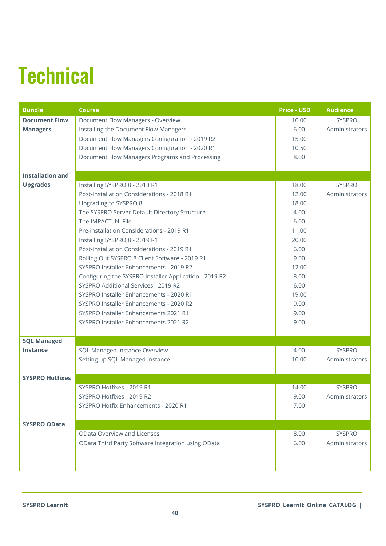# <span id="page-39-0"></span>**Technical**

| <b>Bundle</b>           | <b>Course</b>                                          | <b>Price - USD</b> | <b>Audience</b> |
|-------------------------|--------------------------------------------------------|--------------------|-----------------|
| <b>Document Flow</b>    | Document Flow Managers - Overview                      | 10.00              | <b>SYSPRO</b>   |
| <b>Managers</b>         | Installing the Document Flow Managers                  | 6.00               | Administrators  |
|                         | Document Flow Managers Configuration - 2019 R2         | 15.00              |                 |
|                         | Document Flow Managers Configuration - 2020 R1         | 10.50              |                 |
|                         | Document Flow Managers Programs and Processing         | 8.00               |                 |
|                         |                                                        |                    |                 |
| <b>Installation and</b> |                                                        |                    |                 |
| <b>Upgrades</b>         | Installing SYSPRO 8 - 2018 R1                          | 18.00              | <b>SYSPRO</b>   |
|                         | Post-installation Considerations - 2018 R1             | 12.00              | Administrators  |
|                         | Upgrading to SYSPRO 8                                  | 18.00              |                 |
|                         | The SYSPRO Server Default Directory Structure          | 4.00               |                 |
|                         | The IMPACT. INI File                                   | 6.00               |                 |
|                         | Pre-installation Considerations - 2019 R1              | 11.00              |                 |
|                         | Installing SYSPRO 8 - 2019 R1                          | 20.00              |                 |
|                         | Post-installation Considerations - 2019 R1             | 6.00               |                 |
|                         | Rolling Out SYSPRO 8 Client Software - 2019 R1         | 9.00               |                 |
|                         | SYSPRO Installer Enhancements - 2019 R2                | 12.00              |                 |
|                         | Configuring the SYSPRO Installer Application - 2019 R2 | 8.00               |                 |
|                         | SYSPRO Additional Services - 2019 R2                   | 6.00               |                 |
|                         | SYSPRO Installer Enhancements - 2020 R1                | 19.00              |                 |
|                         | SYSPRO Installer Enhancements - 2020 R2                | 9.00               |                 |
|                         | SYSPRO Installer Enhancements 2021 R1                  | 9.00               |                 |
|                         | SYSPRO Installer Enhancements 2021 R2                  | 9.00               |                 |
|                         |                                                        |                    |                 |
| <b>SQL Managed</b>      |                                                        |                    |                 |
| <b>Instance</b>         | SQL Managed Instance Overview                          | 4.00               | <b>SYSPRO</b>   |
|                         | Setting up SQL Managed Instance                        | 10.00              | Administrators  |
|                         |                                                        |                    |                 |
| <b>SYSPRO Hotfixes</b>  |                                                        |                    |                 |
|                         | SYSPRO Hotfixes - 2019 R1                              | 14.00              | <b>SYSPRO</b>   |
|                         | SYSPRO Hotfixes - 2019 R2                              | 9.00               | Administrators  |
|                         | SYSPRO Hotfix Enhancements - 2020 R1                   | 7.00               |                 |
|                         |                                                        |                    |                 |
| <b>SYSPRO OData</b>     |                                                        |                    |                 |
|                         | <b>OData Overview and Licenses</b>                     | 8.00               | <b>SYSPRO</b>   |
|                         | OData Third Party Software Integration using OData     | 6.00               | Administrators  |
|                         |                                                        |                    |                 |
|                         |                                                        |                    |                 |
|                         |                                                        |                    |                 |